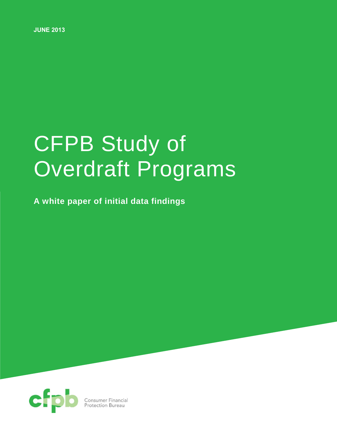**JUNE 2013**

# CFPB Study of Overdraft Programs

**A white paper of initial data findings**

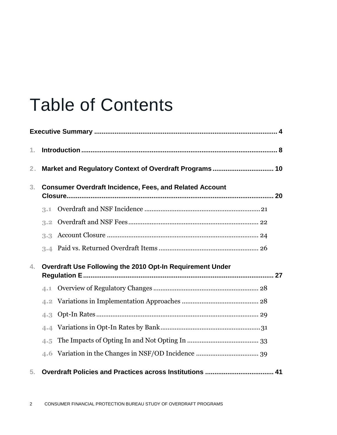## Table of Contents

| 1.             |                                                                |  |
|----------------|----------------------------------------------------------------|--|
| 2 <sub>1</sub> |                                                                |  |
| 3.             | <b>Consumer Overdraft Incidence, Fees, and Related Account</b> |  |
|                | 3.1                                                            |  |
|                | 3.2                                                            |  |
|                | 3.3                                                            |  |
|                | 3.4                                                            |  |
| 4.             | Overdraft Use Following the 2010 Opt-In Requirement Under      |  |
|                | 4.1                                                            |  |
|                | 4.2                                                            |  |
|                | 4.3                                                            |  |
|                | 4.4                                                            |  |
|                | 4.5                                                            |  |
|                | 4.6                                                            |  |
| 5.             |                                                                |  |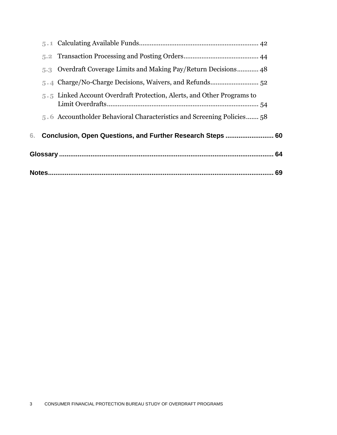|  |                                                                        | 69 |
|--|------------------------------------------------------------------------|----|
|  |                                                                        | 64 |
|  | Conclusion, Open Questions, and Further Research Steps  60             |    |
|  | 5.6 Accountholder Behavioral Characteristics and Screening Policies 58 |    |
|  | 5.5 Linked Account Overdraft Protection, Alerts, and Other Programs to |    |
|  |                                                                        |    |
|  | 5.3 Overdraft Coverage Limits and Making Pay/Return Decisions 48       |    |
|  |                                                                        |    |
|  |                                                                        |    |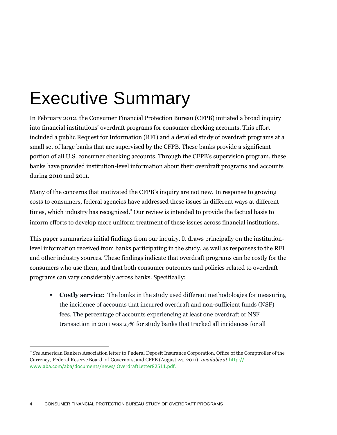## Executive Summary

In February 2012, the Consumer Financial Protection Bureau (CFPB) initiated a broad inquiry into financial institutions' overdraft programs for consumer checking accounts. This effort included a public Request for Information (RFI) and a detailed study of overdraft programs at a small set of large banks that are supervised by the CFPB. These banks provide a significant portion of all U.S. consumer checking accounts. Through the CFPB's supervision program, these banks have provided institution-level information about their overdraft programs and accounts during 2010 and 2011.

Many of the concerns that motivated the CFPB's inquiry are not new. In response to growing costs to consumers, federal agencies have addressed these issues in different ways at different times, which industry has recognized.<sup>3</sup> Our review is intended to provide the factual basis to inform efforts to develop more uniform treatment of these issues across financial institutions.

This paper summarizes initial findings from our inquiry. It draws principally on the institutionlevel information received from banks participating in the study, as well as responses to the RFI and other industry sources. These findings indicate that overdraft programs can be costly for the consumers who use them, and that both consumer outcomes and policies related to overdraft programs can vary considerably across banks. Specifically:

**Costly service:** The banks in the study used different methodologies for measuring the incidence of accounts that incurred overdraft and non-sufficient funds (NSF) fees. The percentage of accounts experiencing at least one overdraft or NSF transaction in 2011 was 27% for study banks that tracked all incidences for all

a *See* American Bankers Association letter to Federal Deposit Insurance Corporation, Office of the Comptroller of the Currency, Federal Reserve Board of Governors, and CFPB (August 24, 2011), *available at* [http://](http://www.aba.com/aba/documents/news/OverdraftLetter82511.pdf)  [www.aba.com/aba/documents/news/ OverdraftLetter82511.pdf.](http://www.aba.com/aba/documents/news/)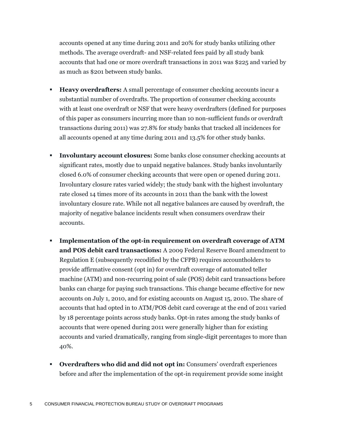accounts opened at any time during 2011 and 20% for study banks utilizing other methods. The average overdraft- and NSF-related fees paid by all study bank accounts that had one or more overdraft transactions in 2011 was \$225 and varied by as much as \$201 between study banks.

- **Heavy overdrafters:** A small percentage of consumer checking accounts incur a substantial number of overdrafts. The proportion of consumer checking accounts with at least one overdraft or NSF that were heavy overdrafters (defined for purposes of this paper as consumers incurring more than 10 non-sufficient funds or overdraft transactions during 2011) was 27.8% for study banks that tracked all incidences for all accounts opened at any time during 2011 and 13.5% for other study banks.
- **Involuntary account closures:** Some banks close consumer checking accounts at significant rates, mostly due to unpaid negative balances. Study banks involuntarily closed 6.0% of consumer checking accounts that were open or opened during 2011. Involuntary closure rates varied widely; the study bank with the highest involuntary rate closed 14 times more of its accounts in 2011 than the bank with the lowest involuntary closure rate. While not all negative balances are caused by overdraft, the majority of negative balance incidents result when consumers overdraw their accounts.
- **Implementation of the opt-in requirement on overdraft coverage of ATM and POS debit card transactions:** A 2009 Federal Reserve Board amendment to Regulation E (subsequently recodified by the CFPB) requires accountholders to provide affirmative consent (opt in) for overdraft coverage of automated teller machine (ATM) and non-recurring point of sale (POS) debit card transactions before banks can charge for paying such transactions. This change became effective for new accounts on July 1, 2010, and for existing accounts on August 15, 2010. The share of accounts that had opted in to ATM/POS debit card coverage at the end of 2011 varied by 18 percentage points across study banks. Opt-in rates among the study banks of accounts that were opened during 2011 were generally higher than for existing accounts and varied dramatically, ranging from single-digit percentages to more than 40%.
- **Overdrafters who did and did not opt in: Consumers' overdraft experiences** before and after the implementation of the opt-in requirement provide some insight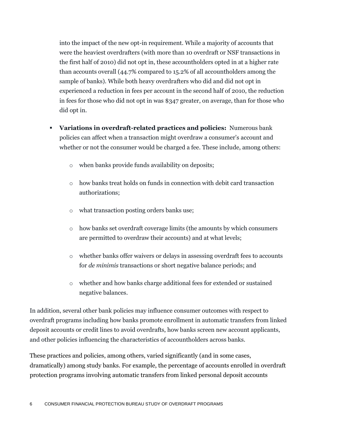into the impact of the new opt-in requirement. While a majority of accounts that were the heaviest overdrafters (with more than 10 overdraft or NSF transactions in the first half of 2010) did not opt in, these accountholders opted in at a higher rate than accounts overall (44.7% compared to 15.2% of all accountholders among the sample of banks). While both heavy overdrafters who did and did not opt in experienced a reduction in fees per account in the second half of 2010, the reduction in fees for those who did not opt in was \$347 greater, on average, than for those who did opt in.

- **Variations in overdraft-related practices and policies:** Numerous bank policies can affect when a transaction might overdraw a consumer's account and whether or not the consumer would be charged a fee. These include, among others:
	- o when banks provide funds availability on deposits;
	- o how banks treat holds on funds in connection with debit card transaction authorizations;
	- o what transaction posting orders banks use;
	- o how banks set overdraft coverage limits (the amounts by which consumers are permitted to overdraw their accounts) and at what levels;
	- o whether banks offer waivers or delays in assessing overdraft fees to accounts for *de minimis* transactions or short negative balance periods; and
	- o whether and how banks charge additional fees for extended or sustained negative balances.

In addition, several other bank policies may influence consumer outcomes with respect to overdraft programs including how banks promote enrollment in automatic transfers from linked deposit accounts or credit lines to avoid overdrafts, how banks screen new account applicants, and other policies influencing the characteristics of accountholders across banks.

These practices and policies, among others, varied significantly (and in some cases, dramatically) among study banks. For example, the percentage of accounts enrolled in overdraft protection programs involving automatic transfers from linked personal deposit accounts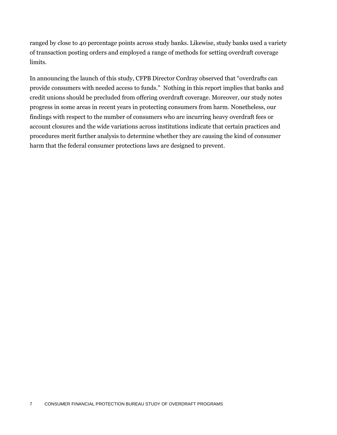ranged by close to 40 percentage points across study banks. Likewise, study banks used a variety of transaction posting orders and employed a range of methods for setting overdraft coverage limits.

In announcing the launch of this study, CFPB Director Cordray observed that "overdrafts can provide consumers with needed access to funds." Nothing in this report implies that banks and credit unions should be precluded from offering overdraft coverage. Moreover, our study notes progress in some areas in recent years in protecting consumers from harm. Nonetheless, our findings with respect to the number of consumers who are incurring heavy overdraft fees or account closures and the wide variations across institutions indicate that certain practices and procedures merit further analysis to determine whether they are causing the kind of consumer harm that the federal consumer protections laws are designed to prevent.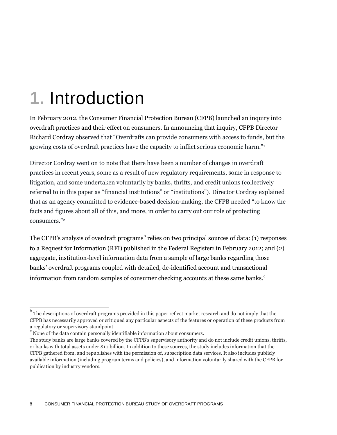## **1.** Introduction

In February 2012, the Consumer Financial Protection Bureau (CFPB) launched an inquiry into overdraft practices and their effect on consumers. In announcing that inquiry, CFPB Director Richard Cordray observed that "Overdrafts can provide consumers with access to funds, but the growing costs of overdraft practices have the capacity to inflict serious economic harm."<sup>1</sup>

Director Cordray went on to note that there have been a number of changes in overdraft practices in recent years, some as a result of new regulatory requirements, some in response to litigation, and some undertaken voluntarily by banks, thrifts, and credit unions (collectively referred to in this paper as "financial institutions" or "institutions"). Director Cordray explained that as an agency committed to evidence-based decision-making, the CFPB needed "to know the facts and figures about all of this, and more, in order to carry out our role of protecting consumers."<sup>2</sup>

The CFPB's analysis of overdraft programs $^{\rm b}$  relies on two principal sources of data: (1) responses to a Request for Information (RFI) published in the Federal Register<sup>3</sup> in February 2012; and (2) aggregate, institution-level information data from a sample of large banks regarding those banks' overdraft programs coupled with detailed, de-identified account and transactional information from random samples of consumer checking accounts at these same banks.<sup>c</sup>

b The descriptions of overdraft programs provided in this paper reflect market research and do not imply that the CFPB has necessarily approved or critiqued any particular aspects of the features or operation of these products from a regulatory or supervisory standpoint.

contained the data contain personally identifiable information about consumers.

The study banks are large banks covered by the CFPB's supervisory authority and do not include credit unions, thrifts, or banks with total assets under \$10 billion. In addition to these sources, the study includes information that the CFPB gathered from, and republishes with the permission of, subscription data services. It also includes publicly available information (including program terms and policies), and information voluntarily shared with the CFPB for publication by industry vendors.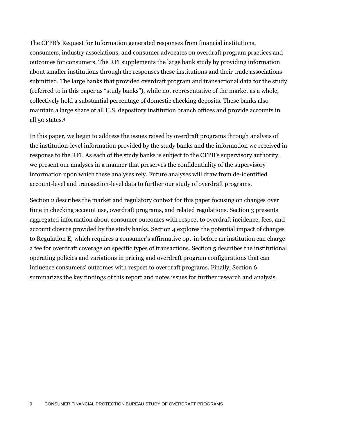The CFPB's Request for Information generated responses from financial institutions, consumers, industry associations, and consumer advocates on overdraft program practices and outcomes for consumers. The RFI supplements the large bank study by providing information about smaller institutions through the responses these institutions and their trade associations submitted. The large banks that provided overdraft program and transactional data for the study (referred to in this paper as "study banks"), while not representative of the market as a whole, collectively hold a substantial percentage of domestic checking deposits. These banks also maintain a large share of all U.S. depository institution branch offices and provide accounts in all 50 states.<sup>4</sup>

In this paper, we begin to address the issues raised by overdraft programs through analysis of the institution-level information provided by the study banks and the information we received in response to the RFI. As each of the study banks is subject to the CFPB's supervisory authority, we present our analyses in a manner that preserves the confidentiality of the supervisory information upon which these analyses rely. Future analyses will draw from de-identified account-level and transaction-level data to further our study of overdraft programs.

Section 2 describes the market and regulatory context for this paper focusing on changes over time in checking account use, overdraft programs, and related regulations. Section 3 presents aggregated information about consumer outcomes with respect to overdraft incidence, fees, and account closure provided by the study banks. Section 4 explores the potential impact of changes to Regulation E, which requires a consumer's affirmative opt-in before an institution can charge a fee for overdraft coverage on specific types of transactions. Section 5 describes the institutional operating policies and variations in pricing and overdraft program configurations that can influence consumers' outcomes with respect to overdraft programs. Finally, Section 6 summarizes the key findings of this report and notes issues for further research and analysis.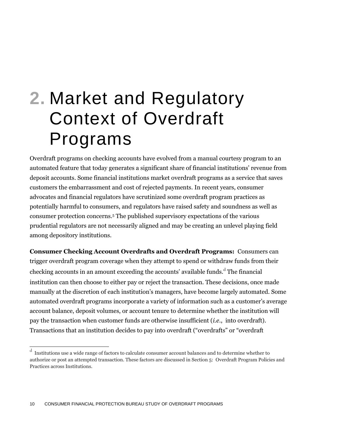## **2.** Market and Regulatory Context of Overdraft Programs

Overdraft programs on checking accounts have evolved from a manual courtesy program to an automated feature that today generates a significant share of financial institutions' revenue from deposit accounts. Some financial institutions market overdraft programs as a service that saves customers the embarrassment and cost of rejected payments. In recent years, consumer advocates and financial regulators have scrutinized some overdraft program practices as potentially harmful to consumers, and regulators have raised safety and soundness as well as consumer protection concerns.<sup>5</sup> The published supervisory expectations of the various prudential regulators are not necessarily aligned and may be creating an unlevel playing field among depository institutions.

**Consumer Checking Account Overdrafts and Overdraft Programs:** Consumers can trigger overdraft program coverage when they attempt to spend or withdraw funds from their checking accounts in an amount exceeding the accounts' available funds.<sup>d</sup> The financial institution can then choose to either pay or reject the transaction. These decisions, once made manually at the discretion of each institution's managers, have become largely automated. Some automated overdraft programs incorporate a variety of information such as a customer's average account balance, deposit volumes, or account tenure to determine whether the institution will pay the transaction when customer funds are otherwise insufficient (*i.e.*, into overdraft). Transactions that an institution decides to pay into overdraft ("overdrafts" or "overdraft

 d Institutions use a wide range of factors to calculate consumer account balances and to determine whether to authorize or post an attempted transaction. These factors are discussed in Section 5: Overdraft Program Policies and Practices across Institutions.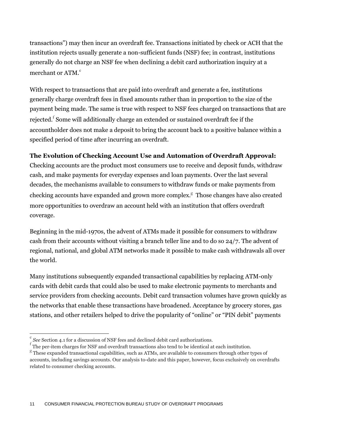transactions") may then incur an overdraft fee. Transactions initiated by check or ACH that the institution rejects usually generate a non-sufficient funds (NSF) fee; in contrast, institutions generally do not charge an NSF fee when declining a debit card authorization inquiry at a merchant or ATM. $^{\rm e}$ 

With respect to transactions that are paid into overdraft and generate a fee, institutions generally charge overdraft fees in fixed amounts rather than in proportion to the size of the payment being made. The same is true with respect to NSF fees charged on transactions that are rejected. $^{\rm f}$  Some will additionally charge an extended or sustained overdraft fee if the accountholder does not make a deposit to bring the account back to a positive balance within a specified period of time after incurring an overdraft.

#### **The Evolution of Checking Account Use and Automation of Overdraft Approval:**

Checking accounts are the product most consumers use to receive and deposit funds, withdraw cash, and make payments for everyday expenses and loan payments. Over the last several decades, the mechanisms available to consumers to withdraw funds or make payments from checking accounts have expanded and grown more complex. $^g$  Those changes have also created more opportunities to overdraw an account held with an institution that offers overdraft coverage.

Beginning in the mid-1970s, the advent of ATMs made it possible for consumers to withdraw cash from their accounts without visiting a branch teller line and to do so 24/7. The advent of regional, national, and global ATM networks made it possible to make cash withdrawals all over the world.

Many institutions subsequently expanded transactional capabilities by replacing ATM-only cards with debit cards that could also be used to make electronic payments to merchants and service providers from checking accounts. Debit card transaction volumes have grown quickly as the networks that enable these transactions have broadened. Acceptance by grocery stores, gas stations, and other retailers helped to drive the popularity of "online" or "PIN debit" payments

e *See* Section 4.1 for a discussion of NSF fees and declined debit card authorizations.

 $\frac{f}{f}$  The per-item charges for NSF and overdraft transactions also tend to be identical at each institution.

 $<sup>g</sup>$  These expanded transactional capabilities, such as ATMs, are available to consumers through other types of</sup> accounts, including savings accounts. Our analysis to-date and this paper, however, focus exclusively on overdrafts related to consumer checking accounts.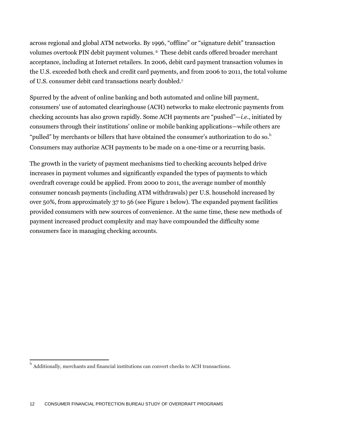across regional and global ATM networks. By 1996, "offline" or "signature debit" transaction volumes overtook PIN debit payment volumes. <sup>6</sup> These debit cards offered broader merchant acceptance, including at Internet retailers. In 2006, debit card payment transaction volumes in the U.S. exceeded both check and credit card payments, and from 2006 to 2011, the total volume of U.S. consumer debit card transactions nearly doubled. 7

Spurred by the advent of online banking and both automated and online bill payment, consumers' use of automated clearinghouse (ACH) networks to make electronic payments from checking accounts has also grown rapidly. Some ACH payments are "pushed"—*i.e.*, initiated by consumers through their institutions' online or mobile banking applications—while others are "pulled" by merchants or billers that have obtained the consumer's authorization to do so. $^{\rm h}$ Consumers may authorize ACH payments to be made on a one-time or a recurring basis.

The growth in the variety of payment mechanisms tied to checking accounts helped drive increases in payment volumes and significantly expanded the types of payments to which overdraft coverage could be applied. From 2000 to 2011, the average number of monthly consumer noncash payments (including ATM withdrawals) per U.S. household increased by over 50%, from approximately 37 to 56 (see Figure 1 below). The expanded payment facilities provided consumers with new sources of convenience. At the same time, these new methods of payment increased product complexity and may have compounded the difficulty some consumers face in managing checking accounts.

 h Additionally, merchants and financial institutions can convert checks to ACH transactions.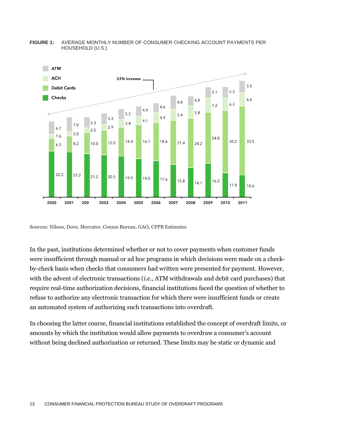

#### **FIGURE 1:** AVERAGE MONTHLY NUMBER OF CONSUMER CHECKING ACCOUNT PAYMENTS PER HOUSEHOLD (U.S.)

Sources: Nilson, Dove, Mercator, Census Bureau, GAO, CFPB Estimates

In the past, institutions determined whether or not to cover payments when customer funds were insufficient through manual or ad hoc programs in which decisions were made on a checkby-check basis when checks that consumers had written were presented for payment. However, with the advent of electronic transactions (*i.e.*, ATM withdrawals and debit card purchases) that require real-time authorization decisions, financial institutions faced the question of whether to refuse to authorize any electronic transaction for which there were insufficient funds or create an automated system of authorizing such transactions into overdraft.

In choosing the latter course, financial institutions established the concept of overdraft limits, or amounts by which the institution would allow payments to overdraw a consumer's account without being declined authorization or returned. These limits may be static or dynamic and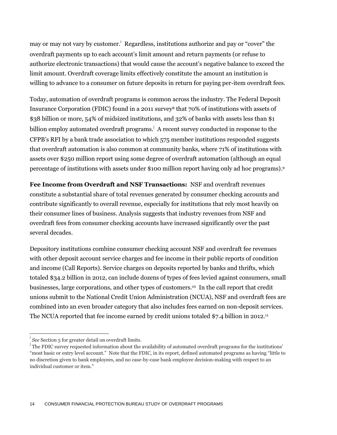may or may not vary by customer.<sup>i</sup> Regardless, institutions authorize and pay or "cover" the overdraft payments up to each account's limit amount and return payments (or refuse to authorize electronic transactions) that would cause the account's negative balance to exceed the limit amount. Overdraft coverage limits effectively constitute the amount an institution is willing to advance to a consumer on future deposits in return for paying per-item overdraft fees.

Today, automation of overdraft programs is common across the industry. The Federal Deposit Insurance Corporation (FDIC) found in a 2011 survey<sup>8</sup> that 70% of institutions with assets of \$38 billion or more, 54% of midsized institutions, and 32% of banks with assets less than \$1 billion employ automated overdraft programs.  $^{\text{!`}}$  A recent survey conducted in response to the CFPB's RFI by a bank trade association to which 575 member institutions responded suggests that overdraft automation is also common at community banks, where 71% of institutions with assets over \$250 million report using some degree of overdraft automation (although an equal percentage of institutions with assets under \$100 million report having only ad hoc programs). 9

**Fee Income from Overdraft and NSF Transactions:** NSF and overdraft revenues constitute a substantial share of total revenues generated by consumer checking accounts and contribute significantly to overall revenue, especially for institutions that rely most heavily on their consumer lines of business. Analysis suggests that industry revenues from NSF and overdraft fees from consumer checking accounts have increased significantly over the past several decades.

Depository institutions combine consumer checking account NSF and overdraft fee revenues with other deposit account service charges and fee income in their public reports of condition and income (Call Reports). Service charges on deposits reported by banks and thrifts, which totaled \$34.2 billion in 2012, can include dozens of types of fees levied against consumers, small businesses, large corporations, and other types of customers.<sup>10</sup> In the call report that credit unions submit to the National Credit Union Administration (NCUA), NSF and overdraft fees are combined into an even broader category that also includes fees earned on non-deposit services. The NCUA reported that fee income earned by credit unions totaled  $\frac{27.4}{7.4}$  billion in 2012.<sup>11</sup>

 $\overline{\phantom{a}}$ 

i *See* Section 5 for greater detail on overdraft limits.

The FDIC survey requested information about the availability of automated overdraft programs for the institutions' "most basic or entry level account." Note that the FDIC, in its report, defined automated programs as having "little to no discretion given to bank employees, and no case-by-case bank employee decision-making with respect to an individual customer or item."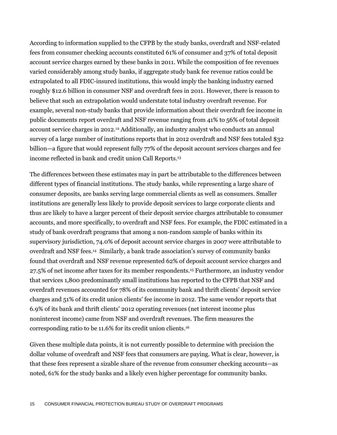According to information supplied to the CFPB by the study banks, overdraft and NSF-related fees from consumer checking accounts constituted 61% of consumer and 37% of total deposit account service charges earned by these banks in 2011. While the composition of fee revenues varied considerably among study banks, if aggregate study bank fee revenue ratios could be extrapolated to all FDIC-insured institutions, this would imply the banking industry earned roughly \$12.6 billion in consumer NSF and overdraft fees in 2011. However, there is reason to believe that such an extrapolation would understate total industry overdraft revenue. For example, several non-study banks that provide information about their overdraft fee income in public documents report overdraft and NSF revenue ranging from 41% to 56% of total deposit account service charges in 2012.<sup>12</sup> Additionally, an industry analyst who conducts an annual survey of a large number of institutions reports that in 2012 overdraft and NSF fees totaled \$32 billion—a figure that would represent fully 77% of the deposit account services charges and fee income reflected in bank and credit union Call Reports.<sup>13</sup>

The differences between these estimates may in part be attributable to the differences between different types of financial institutions. The study banks, while representing a large share of consumer deposits, are banks serving large commercial clients as well as consumers. Smaller institutions are generally less likely to provide deposit services to large corporate clients and thus are likely to have a larger percent of their deposit service charges attributable to consumer accounts, and more specifically, to overdraft and NSF fees. For example, the FDIC estimated in a study of bank overdraft programs that among a non-random sample of banks within its supervisory jurisdiction, 74.0% of deposit account service charges in 2007 were attributable to overdraft and NSF fees.<sup>14</sup> Similarly, a bank trade association's survey of community banks found that overdraft and NSF revenue represented 62% of deposit account service charges and 27.5% of net income after taxes for its member respondents.<sup>15</sup> Furthermore, an industry vendor that services 1,800 predominantly small institutions has reported to the CFPB that NSF and overdraft revenues accounted for 78% of its community bank and thrift clients' deposit service charges and 51% of its credit union clients' fee income in 2012. The same vendor reports that 6.9% of its bank and thrift clients' 2012 operating revenues (net interest income plus noninterest income) came from NSF and overdraft revenues. The firm measures the corresponding ratio to be 11.6% for its credit union clients.<sup>16</sup>

Given these multiple data points, it is not currently possible to determine with precision the dollar volume of overdraft and NSF fees that consumers are paying. What is clear, however, is that these fees represent a sizable share of the revenue from consumer checking accounts—as noted, 61% for the study banks and a likely even higher percentage for community banks.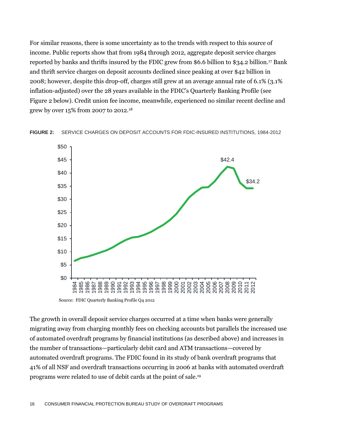For similar reasons, there is some uncertainty as to the trends with respect to this source of income. Public reports show that from 1984 through 2012, aggregate deposit service charges reported by banks and thrifts insured by the FDIC grew from \$6.6 billion to \$34.2 billion. <sup>17</sup> Bank and thrift service charges on deposit accounts declined since peaking at over \$42 billion in 2008; however, despite this drop-off, charges still grew at an average annual rate of 6.1% (3.1% inflation-adjusted) over the 28 years available in the FDIC's Quarterly Banking Profile (see Figure 2 below). Credit union fee income, meanwhile, experienced no similar recent decline and grew by over 15% from 2007 to 2012.<sup>18</sup>





Source: FDIC Quarterly Banking Profile Q4 2012

The growth in overall deposit service charges occurred at a time when banks were generally migrating away from charging monthly fees on checking accounts but parallels the increased use of automated overdraft programs by financial institutions (as described above) and increases in the number of transactions—particularly debit card and ATM transactions—covered by automated overdraft programs. The FDIC found in its study of bank overdraft programs that 41% of all NSF and overdraft transactions occurring in 2006 at banks with automated overdraft programs were related to use of debit cards at the point of sale. 19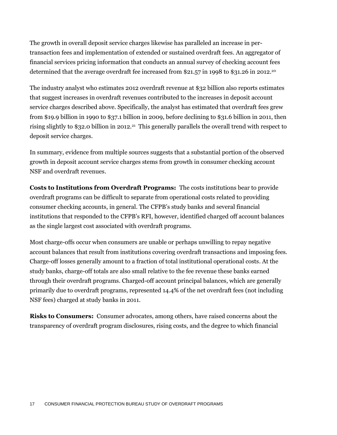The growth in overall deposit service charges likewise has paralleled an increase in pertransaction fees and implementation of extended or sustained overdraft fees. An aggregator of financial services pricing information that conducts an annual survey of checking account fees determined that the average overdraft fee increased from \$21.57 in 1998 to \$31.26 in 2012.<sup>20</sup>

The industry analyst who estimates 2012 overdraft revenue at \$32 billion also reports estimates that suggest increases in overdraft revenues contributed to the increases in deposit account service charges described above. Specifically, the analyst has estimated that overdraft fees grew from \$19.9 billion in 1990 to \$37.1 billion in 2009, before declining to \$31.6 billion in 2011, then rising slightly to \$32.0 billion in 2012.<sup>21</sup> This generally parallels the overall trend with respect to deposit service charges.

In summary, evidence from multiple sources suggests that a substantial portion of the observed growth in deposit account service charges stems from growth in consumer checking account NSF and overdraft revenues.

**Costs to Institutions from Overdraft Programs:** The costs institutions bear to provide overdraft programs can be difficult to separate from operational costs related to providing consumer checking accounts, in general. The CFPB's study banks and several financial institutions that responded to the CFPB's RFI, however, identified charged off account balances as the single largest cost associated with overdraft programs.

Most charge-offs occur when consumers are unable or perhaps unwilling to repay negative account balances that result from institutions covering overdraft transactions and imposing fees. Charge-off losses generally amount to a fraction of total institutional operational costs. At the study banks, charge-off totals are also small relative to the fee revenue these banks earned through their overdraft programs. Charged-off account principal balances, which are generally primarily due to overdraft programs, represented 14.4% of the net overdraft fees (not including NSF fees) charged at study banks in 2011.

**Risks to Consumers:** Consumer advocates, among others, have raised concerns about the transparency of overdraft program disclosures, rising costs, and the degree to which financial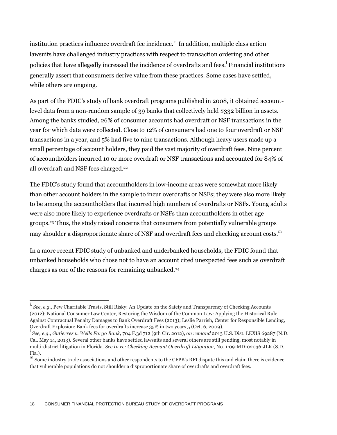institution practices influence overdraft fee incidence. $^{\rm k}$  In addition, multiple class action lawsuits have challenged industry practices with respect to transaction ordering and other policies that have allegedly increased the incidence of overdrafts and fees. Financial institutions generally assert that consumers derive value from these practices. Some cases have settled, while others are ongoing.

As part of the FDIC's study of bank overdraft programs published in 2008, it obtained accountlevel data from a non-random sample of 39 banks that collectively held \$332 billion in assets. Among the banks studied, 26% of consumer accounts had overdraft or NSF transactions in the year for which data were collected. Close to 12% of consumers had one to four overdraft or NSF transactions in a year, and 5% had five to nine transactions. Although heavy users made up a small percentage of account holders, they paid the vast majority of overdraft fees. Nine percent of accountholders incurred 10 or more overdraft or NSF transactions and accounted for 84% of all overdraft and NSF fees charged.<sup>22</sup>

The FDIC's study found that accountholders in low-income areas were somewhat more likely than other account holders in the sample to incur overdrafts or NSFs; they were also more likely to be among the accountholders that incurred high numbers of overdrafts or NSFs. Young adults were also more likely to experience overdrafts or NSFs than accountholders in other age groups.<sup>23</sup> Thus, the study raised concerns that consumers from potentially vulnerable groups may shoulder a disproportionate share of NSF and overdraft fees and checking account costs.<sup>m</sup>

In a more recent FDIC study of unbanked and underbanked households, the FDIC found that unbanked households who chose not to have an account cited unexpected fees such as overdraft charges as one of the reasons for remaining unbanked.<sup>24</sup>

k *See, e.g.*, Pew Charitable Trusts, Still Risky: An Update on the Safety and Transparency of Checking Accounts (2012); National Consumer Law Center, Restoring the Wisdom of the Common Law: Applying the Historical Rule Against Contractual Penalty Damages to Bank Overdraft Fees (2013); Leslie Parrish, Center for Responsible Lending, Overdraft Explosion: Bank fees for overdrafts increase 35% in two years 5 (Oct. 6, 2009).<br><sup>1</sup> See a.g., *Cutiomas u. Wells Eanse Bank*, 504 Fee (oth Cir. 2012), on remand 2012.

*See, e.g.*, *Gutierrez v. Wells Fargo Bank,* 704 F.3d 712 (9th Cir. 2012), *on remand* 2013 U.S. Dist. LEXIS 69287 (N.D. Cal. May 14, 2013). Several other banks have settled lawsuits and several others are still pending, most notably in multi-district litigation in Florida. *See In re: Checking Account Overdraft Litigation*, No. 1:09-MD-02036-JLK (S.D. Fla.).

m Some industry trade associations and other respondents to the CFPB's RFI dispute this and claim there is evidence that vulnerable populations do not shoulder a disproportionate share of overdrafts and overdraft fees.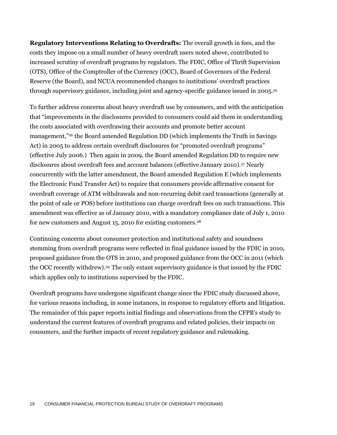**Regulatory Interventions Relating to Overdrafts:** The overall growth in fees, and the costs they impose on a small number of heavy overdraft users noted above, contributed to increased scrutiny of overdraft programs by regulators. The FDIC, Office of Thrift Supervision (OTS), Office of the Comptroller of the Currency (OCC), Board of Governors of the Federal Reserve (the Board), and NCUA recommended changes to institutions' overdraft practices through supervisory guidance, including joint and agency-specific guidance issued in 2005.<sup>25</sup>

To further address concerns about heavy overdraft use by consumers, and with the anticipation that "improvements in the disclosures provided to consumers could aid them in understanding the costs associated with overdrawing their accounts and promote better account management,"<sup>26</sup> the Board amended Regulation DD (which implements the Truth in Savings Act) in 2005 to address certain overdraft disclosures for "promoted overdraft programs" (effective July 2006.) Then again in 2009, the Board amended Regulation DD to require new disclosures about overdraft fees and account balances (effective January 2010).<sup>27</sup> Nearly concurrently with the latter amendment, the Board amended Regulation E (which implements the Electronic Fund Transfer Act) to require that consumers provide affirmative consent for overdraft coverage of ATM withdrawals and non-recurring debit card transactions (generally at the point of sale or POS) before institutions can charge overdraft fees on such transactions. This amendment was effective as of January 2010, with a mandatory compliance date of July 1, 2010 for new customers and August 15, 2010 for existing customers.<sup>28</sup>

Continuing concerns about consumer protection and institutional safety and soundness stemming from overdraft programs were reflected in final guidance issued by the FDIC in 2010, proposed guidance from the OTS in 2010, and proposed guidance from the OCC in 2011 (which the OCC recently withdrew).<sup>29</sup> The only extant supervisory guidance is that issued by the FDIC which applies only to institutions supervised by the FDIC.

Overdraft programs have undergone significant change since the FDIC study discussed above, for various reasons including, in some instances, in response to regulatory efforts and litigation. The remainder of this paper reports initial findings and observations from the CFPB's study to understand the current features of overdraft programs and related policies, their impacts on consumers, and the further impacts of recent regulatory guidance and rulemaking.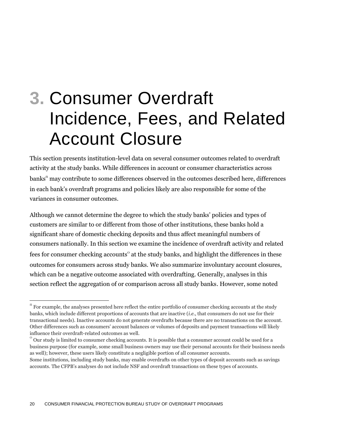## **3.** Consumer Overdraft Incidence, Fees, and Related Account Closure

This section presents institution-level data on several consumer outcomes related to overdraft activity at the study banks. While differences in account or consumer characteristics across banks<sup>n</sup> may contribute to some differences observed in the outcomes described here, differences in each bank's overdraft programs and policies likely are also responsible for some of the variances in consumer outcomes.

Although we cannot determine the degree to which the study banks' policies and types of customers are similar to or different from those of other institutions, these banks hold a significant share of domestic checking deposits and thus affect meaningful numbers of consumers nationally. In this section we examine the incidence of overdraft activity and related fees for consumer checking accounts<sup>o</sup> at the study banks, and highlight the differences in these outcomes for consumers across study banks. We also summarize involuntary account closures, which can be a negative outcome associated with overdrafting. Generally, analyses in this section reflect the aggregation of or comparison across all study banks. However, some noted

<sup>&</sup>lt;sup>n</sup> For example, the analyses presented here reflect the entire portfolio of consumer checking accounts at the study banks, which include different proportions of accounts that are inactive (*i.e.*, that consumers do not use for their transactional needs). Inactive accounts do not generate overdrafts because there are no transactions on the account. Other differences such as consumers' account balances or volumes of deposits and payment transactions will likely influence their overdraft-related outcomes as well.

 $\overline{O}$  Our study is limited to consumer checking accounts. It is possible that a consumer account could be used for a business purpose (for example, some small business owners may use their personal accounts for their business needs as well); however, these users likely constitute a negligible portion of all consumer accounts.

Some institutions, including study banks, may enable overdrafts on other types of deposit accounts such as savings accounts. The CFPB's analyses do not include NSF and overdraft transactions on these types of accounts.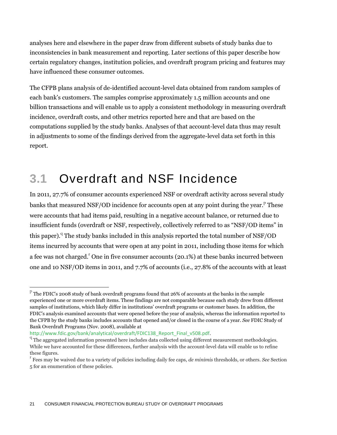analyses here and elsewhere in the paper draw from different subsets of study banks due to inconsistencies in bank measurement and reporting. Later sections of this paper describe how certain regulatory changes, institution policies, and overdraft program pricing and features may have influenced these consumer outcomes.

The CFPB plans analysis of de-identified account-level data obtained from random samples of each bank's customers. The samples comprise approximately 1.5 million accounts and one billion transactions and will enable us to apply a consistent methodology in measuring overdraft incidence, overdraft costs, and other metrics reported here and that are based on the computations supplied by the study banks. Analyses of that account-level data thus may result in adjustments to some of the findings derived from the aggregate-level data set forth in this report.

### **3.1** Overdraft and NSF Incidence

In 2011, 27.7% of consumer accounts experienced NSF or overdraft activity across several study banks that measured NSF/OD incidence for accounts open at any point during the year.<sup>P</sup> These were accounts that had items paid, resulting in a negative account balance, or returned due to insufficient funds (overdraft or NSF, respectively, collectively referred to as "NSF/OD items" in this paper).<sup>q</sup> The study banks included in this analysis reported the total number of NSF/OD items incurred by accounts that were open at any point in 2011, including those items for which a fee was not charged.<sup>r</sup> One in five consumer accounts (20.1%) at these banks incurred between one and 10 NSF/OD items in 2011, and 7.7% of accounts (i.e., 27.8% of the accounts with at least

 $\rm ^{p}$  The FDIC's 2008 study of bank overdraft programs found that 26% of accounts at the banks in the sample experienced one or more overdraft items. These findings are not comparable because each study drew from different samples of institutions, which likely differ in institutions' overdraft programs or customer bases. In addition, the FDIC's analysis examined accounts that were opened before the year of analysis, whereas the information reported to the CFPB by the study banks includes accounts that opened and/or closed in the course of a year. *See* FDIC Study of Bank Overdraft Programs (Nov. 2008), available at

[http://www.fdic.gov/bank/analytical/overdraft/FDIC138\\_Report\\_Final\\_v508.pdf](http://www.fdic.gov/bank/analytical/overdraft/FDIC138_Report_Final_v508.pdf).

The aggregated information presented here includes data collected using different measurement methodologies. While we have accounted for these differences, further analysis with the account-level data will enable us to refine these figures.

r Fees may be waived due to a variety of policies including daily fee caps, *de minimis* thresholds, or others. *See* Section 5 for an enumeration of these policies.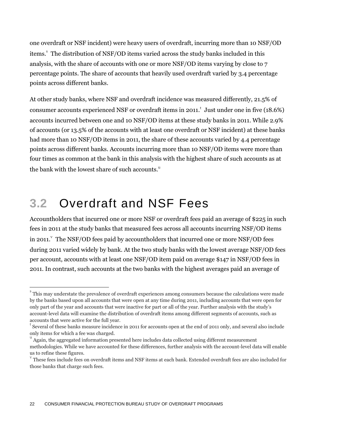one overdraft or NSF incident) were heavy users of overdraft, incurring more than 10 NSF/OD items.<sup>8</sup> The distribution of NSF/OD items varied across the study banks included in this analysis, with the share of accounts with one or more NSF/OD items varying by close to 7 percentage points. The share of accounts that heavily used overdraft varied by 3.4 percentage points across different banks.

At other study banks, where NSF and overdraft incidence was measured differently, 21.5% of consumer accounts experienced NSF or overdraft items in 2011. $^{\rm t}$  Just under one in five (18.6%) accounts incurred between one and 10 NSF/OD items at these study banks in 2011. While 2.9% of accounts (or 13.5% of the accounts with at least one overdraft or NSF incident) at these banks had more than 10 NSF/OD items in 2011, the share of these accounts varied by 4.4 percentage points across different banks. Accounts incurring more than 10 NSF/OD items were more than four times as common at the bank in this analysis with the highest share of such accounts as at the bank with the lowest share of such accounts.<sup>u</sup>

### **3.2** Overdraft and NSF Fees

 $\overline{a}$ 

Accountholders that incurred one or more NSF or overdraft fees paid an average of \$225 in such fees in 2011 at the study banks that measured fees across all accounts incurring NSF/OD items in 2011. The NSF/OD fees paid by accountholders that incurred one or more NSF/OD fees during 2011 varied widely by bank. At the two study banks with the lowest average NSF/OD fees per account, accounts with at least one NSF/OD item paid on average \$147 in NSF/OD fees in 2011. In contrast, such accounts at the two banks with the highest averages paid an average of

 $^{\rm s}$  This may understate the prevalence of overdraft experiences among consumers because the calculations were made by the banks based upon all accounts that were open at any time during 2011, including accounts that were open for only part of the year and accounts that were inactive for part or all of the year. Further analysis with the study's account-level data will examine the distribution of overdraft items among different segments of accounts, such as accounts that were active for the full year.

t Several of these banks measure incidence in 2011 for accounts open at the end of 2011 only, and several also include only items for which a fee was charged.

u Again, the aggregated information presented here includes data collected using different measurement methodologies. While we have accounted for these differences, further analysis with the account-level data will enable us to refine these figures.

v These fees include fees on overdraft items and NSF items at each bank. Extended overdraft fees are also included for those banks that charge such fees.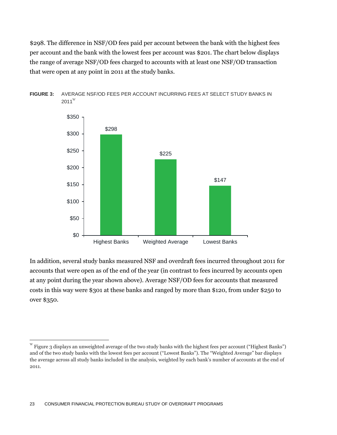\$298. The difference in NSF/OD fees paid per account between the bank with the highest fees per account and the bank with the lowest fees per account was \$201. The chart below displays the range of average NSF/OD fees charged to accounts with at least one NSF/OD transaction that were open at any point in 2011 at the study banks.



**FIGURE 3:** AVERAGE NSF/OD FEES PER ACCOUNT INCURRING FEES AT SELECT STUDY BANKS IN  $2011^{\rm W}$ 

In addition, several study banks measured NSF and overdraft fees incurred throughout 2011 for accounts that were open as of the end of the year (in contrast to fees incurred by accounts open at any point during the year shown above). Average NSF/OD fees for accounts that measured costs in this way were \$301 at these banks and ranged by more than \$120, from under \$250 to over \$350.

w Figure 3 displays an unweighted average of the two study banks with the highest fees per account ("Highest Banks") and of the two study banks with the lowest fees per account ("Lowest Banks"). The "Weighted Average" bar displays the average across all study banks included in the analysis, weighted by each bank's number of accounts at the end of 2011.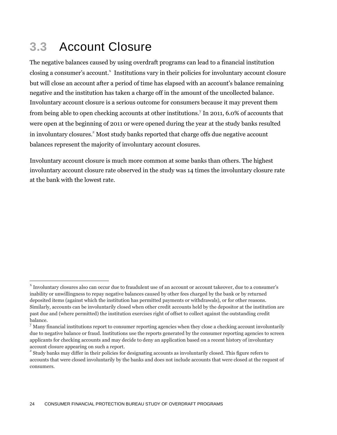### **3.3** Account Closure

 $\overline{a}$ 

The negative balances caused by using overdraft programs can lead to a financial institution closing a consumer's account.<sup>x</sup> Institutions vary in their policies for involuntary account closure but will close an account after a period of time has elapsed with an account's balance remaining negative and the institution has taken a charge off in the amount of the uncollected balance. Involuntary account closure is a serious outcome for consumers because it may prevent them from being able to open checking accounts at other institutions.<sup>y</sup> In 2011, 6.0% of accounts that were open at the beginning of 2011 or were opened during the year at the study banks resulted in involuntary closures.<sup>2</sup> Most study banks reported that charge offs due negative account balances represent the majority of involuntary account closures.

Involuntary account closure is much more common at some banks than others. The highest involuntary account closure rate observed in the study was 14 times the involuntary closure rate at the bank with the lowest rate.

 $^\text{x}$  Involuntary closures also can occur due to fraudulent use of an account or account takeover, due to a consumer's inability or unwillingness to repay negative balances caused by other fees charged by the bank or by returned deposited items (against which the institution has permitted payments or withdrawals), or for other reasons. Similarly, accounts can be involuntarily closed when other credit accounts held by the depositor at the institution are past due and (where permitted) the institution exercises right of offset to collect against the outstanding credit balance.

<sup>&</sup>lt;sup>y</sup> Many financial institutions report to consumer reporting agencies when they close a checking account involuntarily due to negative balance or fraud. Institutions use the reports generated by the consumer reporting agencies to screen applicants for checking accounts and may decide to deny an application based on a recent history of involuntary account closure appearing on such a report.<br><sup>z</sup> Study hanks move differ in their policies for

Study banks may differ in their policies for designating accounts as involuntarily closed. This figure refers to accounts that were closed involuntarily by the banks and does not include accounts that were closed at the request of consumers.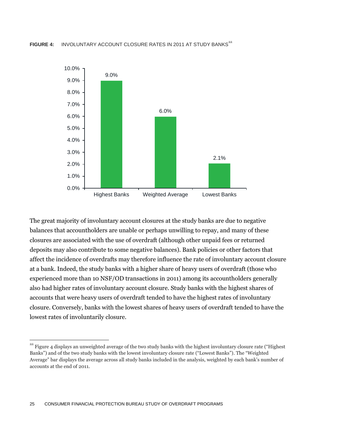

The great majority of involuntary account closures at the study banks are due to negative balances that accountholders are unable or perhaps unwilling to repay, and many of these closures are associated with the use of overdraft (although other unpaid fees or returned deposits may also contribute to some negative balances). Bank policies or other factors that affect the incidence of overdrafts may therefore influence the rate of involuntary account closure at a bank. Indeed, the study banks with a higher share of heavy users of overdraft (those who experienced more than 10 NSF/OD transactions in 2011) among its accountholders generally also had higher rates of involuntary account closure. Study banks with the highest shares of accounts that were heavy users of overdraft tended to have the highest rates of involuntary closure. Conversely, banks with the lowest shares of heavy users of overdraft tended to have the lowest rates of involuntarily closure.

 $a^2$  Figure 4 displays an unweighted average of the two study banks with the highest involuntary closure rate ("Highest Banks") and of the two study banks with the lowest involuntary closure rate ("Lowest Banks"). The "Weighted Average" bar displays the average across all study banks included in the analysis, weighted by each bank's number of accounts at the end of 2011.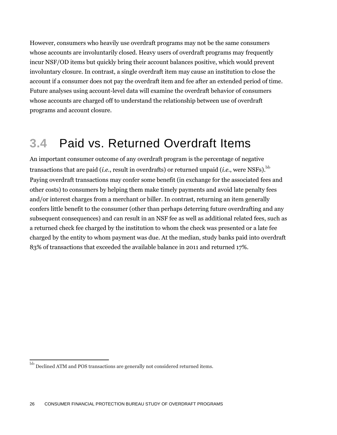However, consumers who heavily use overdraft programs may not be the same consumers whose accounts are involuntarily closed. Heavy users of overdraft programs may frequently incur NSF/OD items but quickly bring their account balances positive, which would prevent involuntary closure. In contrast, a single overdraft item may cause an institution to close the account if a consumer does not pay the overdraft item and fee after an extended period of time. Future analyses using account-level data will examine the overdraft behavior of consumers whose accounts are charged off to understand the relationship between use of overdraft programs and account closure.

### **3.4** Paid vs. Returned Overdraft Items

An important consumer outcome of any overdraft program is the percentage of negative transactions that are paid (*i.e.*, result in overdrafts) or returned unpaid (*i.e.*, were NSFs).  $^{\rm bb}$ Paying overdraft transactions may confer some benefit (in exchange for the associated fees and other costs) to consumers by helping them make timely payments and avoid late penalty fees and/or interest charges from a merchant or biller. In contrast, returning an item generally confers little benefit to the consumer (other than perhaps deterring future overdrafting and any subsequent consequences) and can result in an NSF fee as well as additional related fees, such as a returned check fee charged by the institution to whom the check was presented or a late fee charged by the entity to whom payment was due. At the median, study banks paid into overdraft 83% of transactions that exceeded the available balance in 2011 and returned 17%.

 $^{\rm bb}$  Declined ATM and POS transactions are generally not considered returned items.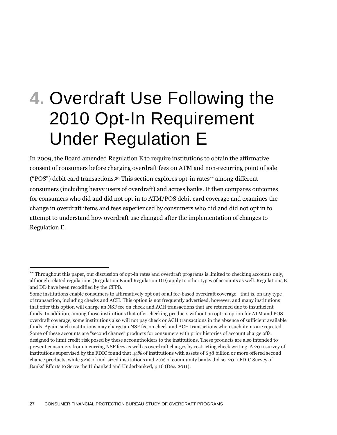## **4.** Overdraft Use Following the 2010 Opt-In Requirement Under Regulation E

In 2009, the Board amended Regulation E to require institutions to obtain the affirmative consent of consumers before charging overdraft fees on ATM and non-recurring point of sale ("POS") debit card transactions.<sup>30</sup> This section explores opt-in rates<sup>cc</sup> among different consumers (including heavy users of overdraft) and across banks. It then compares outcomes for consumers who did and did not opt in to ATM/POS debit card coverage and examines the change in overdraft items and fees experienced by consumers who did and did not opt in to attempt to understand how overdraft use changed after the implementation of changes to Regulation E.

 $\rm ^{cc}$  Throughout this paper, our discussion of opt-in rates and overdraft programs is limited to checking accounts only, although related regulations (Regulation E and Regulation DD) apply to other types of accounts as well. Regulations E and DD have been recodified by the CFPB.

Some institutions enable consumers to affirmatively opt out of all fee-based overdraft coverage—that is, on any type of transaction, including checks and ACH. This option is not frequently advertised, however, and many institutions that offer this option will charge an NSF fee on check and ACH transactions that are returned due to insufficient funds. In addition, among those institutions that offer checking products without an opt-in option for ATM and POS overdraft coverage, some institutions also will not pay check or ACH transactions in the absence of sufficient available funds. Again, such institutions may charge an NSF fee on check and ACH transactions when such items are rejected. Some of these accounts are "second chance" products for consumers with prior histories of account charge offs, designed to limit credit risk posed by these accountholders to the institutions. These products are also intended to prevent consumers from incurring NSF fees as well as overdraft charges by restricting check writing. A 2011 survey of institutions supervised by the FDIC found that 44% of institutions with assets of \$38 billion or more offered second chance products, while 32% of mid-sized institutions and 20% of community banks did so. 2011 FDIC Survey of Banks' Efforts to Serve the Unbanked and Underbanked, p.16 (Dec. 2011).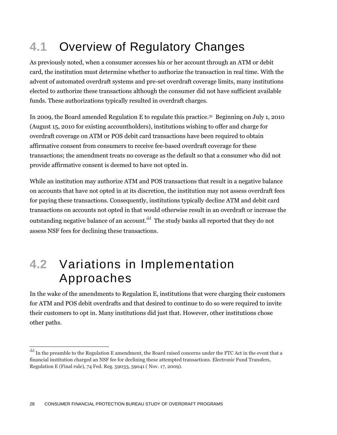### **4.1** Overview of Regulatory Changes

As previously noted, when a consumer accesses his or her account through an ATM or debit card, the institution must determine whether to authorize the transaction in real time. With the advent of automated overdraft systems and pre-set overdraft coverage limits, many institutions elected to authorize these transactions although the consumer did not have sufficient available funds. These authorizations typically resulted in overdraft charges.

In 2009, the Board amended Regulation E to regulate this practice.<sup>31</sup> Beginning on July 1, 2010 (August 15, 2010 for existing accountholders), institutions wishing to offer and charge for overdraft coverage on ATM or POS debit card transactions have been required to obtain affirmative consent from consumers to receive fee-based overdraft coverage for these transactions; the amendment treats no coverage as the default so that a consumer who did not provide affirmative consent is deemed to have not opted in.

While an institution may authorize ATM and POS transactions that result in a negative balance on accounts that have not opted in at its discretion, the institution may not assess overdraft fees for paying these transactions. Consequently, institutions typically decline ATM and debit card transactions on accounts not opted in that would otherwise result in an overdraft or increase the outstanding negative balance of an account. $^{\rm dd}$  The study banks all reported that they do not assess NSF fees for declining these transactions.

### **4.2** Variations in Implementation Approaches

In the wake of the amendments to Regulation E, institutions that were charging their customers for ATM and POS debit overdrafts and that desired to continue to do so were required to invite their customers to opt in. Many institutions did just that. However, other institutions chose other paths.

 $\overline{\phantom{a}}$ 

 $^{\rm dd}$  In the preamble to the Regulation E amendment, the Board raised concerns under the FTC Act in the event that a financial institution charged an NSF fee for declining these attempted transactions. Electronic Fund Transfers, Regulation E (Final rule), 74 Fed. Reg. 59033, 59041 ( Nov. 17, 2009).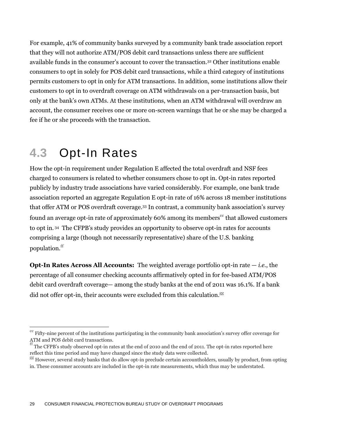For example, 41% of community banks surveyed by a community bank trade association report that they will not authorize ATM/POS debit card transactions unless there are sufficient available funds in the consumer's account to cover the transaction.<sup>32</sup> Other institutions enable consumers to opt in solely for POS debit card transactions, while a third category of institutions permits customers to opt in only for ATM transactions. In addition, some institutions allow their customers to opt in to overdraft coverage on ATM withdrawals on a per-transaction basis, but only at the bank's own ATMs. At these institutions, when an ATM withdrawal will overdraw an account, the consumer receives one or more on-screen warnings that he or she may be charged a fee if he or she proceeds with the transaction.

### **4.3** Opt-In Rates

 $\overline{a}$ 

How the opt-in requirement under Regulation E affected the total overdraft and NSF fees charged to consumers is related to whether consumers chose to opt in. Opt-in rates reported publicly by industry trade associations have varied considerably. For example, one bank trade association reported an aggregate Regulation E opt-in rate of 16% across 18 member institutions that offer ATM or POS overdraft coverage.<sup>33</sup> In contrast, a community bank association's survey found an average opt-in rate of approximately 60% among its members<sup>ee</sup> that allowed customers to opt in. <sup>34</sup> The CFPB's study provides an opportunity to observe opt-in rates for accounts comprising a large (though not necessarily representative) share of the U.S. banking population.<sup>ff</sup>

**Opt-In Rates Across All Accounts:** The weighted average portfolio opt-in rate — *i.e.*, the percentage of all consumer checking accounts affirmatively opted in for fee-based ATM/POS debit card overdraft coverage— among the study banks at the end of 2011 was 16.1%. If a bank did not offer opt-in, their accounts were excluded from this calculation. $^{gg}$ 

Fifty-nine percent of the institutions participating in the community bank association's survey offer coverage for ATM and POS debit card transactions.

The CFPB's study observed opt-in rates at the end of 2010 and the end of 2011. The opt-in rates reported here reflect this time period and may have changed since the study data were collected.

gg However, several study banks that do allow opt-in preclude certain accountholders, usually by product, from opting in. These consumer accounts are included in the opt-in rate measurements, which thus may be understated.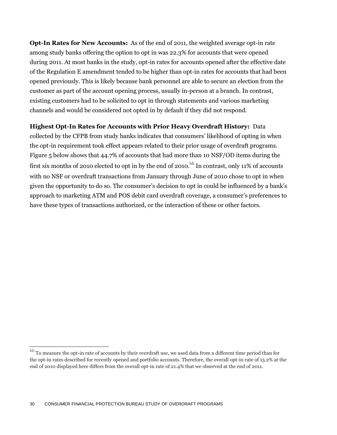**Opt-In Rates for New Accounts:** As of the end of 2011, the weighted average opt-in rate among study banks offering the option to opt in was 22.3% for accounts that were opened during 2011. At most banks in the study, opt-in rates for accounts opened after the effective date of the Regulation E amendment tended to be higher than opt-in rates for accounts that had been opened previously. This is likely because bank personnel are able to secure an election from the customer as part of the account opening process, usually in-person at a branch. In contrast, existing customers had to be solicited to opt in through statements and various marketing channels and would be considered not opted in by default if they did not respond.

#### **Highest Opt-In Rates for Accounts with Prior Heavy Overdraft History:** Data

collected by the CFPB from study banks indicates that consumers' likelihood of opting in when the opt-in requirement took effect appears related to their prior usage of overdraft programs. Figure 5 below shows that 44.7% of accounts that had more than 10 NSF/OD items during the first six months of 2010 elected to opt in by the end of 2010. $^{\rm hh}$  In contrast, only 11% of accounts with no NSF or overdraft transactions from January through June of 2010 chose to opt in when given the opportunity to do so. The consumer's decision to opt in could be influenced by a bank's approach to marketing ATM and POS debit card overdraft coverage, a consumer's preferences to have these types of transactions authorized, or the interaction of these or other factors.

 $^{\rm hh}$  To measure the opt-in rate of accounts by their overdraft use, we used data from a different time period than for the opt-in rates described for recently opened and portfolio accounts. Therefore, the overall opt-in rate of 15.2% at the end of 2010 displayed here differs from the overall opt-in rate of 21.4% that we observed at the end of 2011.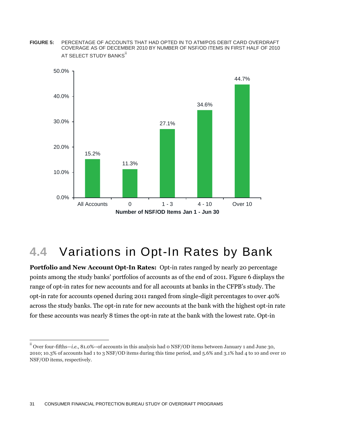**FIGURE 5:** PERCENTAGE OF ACCOUNTS THAT HAD OPTED IN TO ATM/POS DEBIT CARD OVERDRAFT COVERAGE AS OF DECEMBER 2010 BY NUMBER OF NSF/OD ITEMS IN FIRST HALF OF 2010 AT SELECT STUDY BANKS<sup>ii</sup>



### **4.4** Variations in Opt-In Rates by Bank

**Portfolio and New Account Opt-In Rates:** Opt-in rates ranged by nearly 20 percentage points among the study banks' portfolios of accounts as of the end of 2011. Figure 6 displays the range of opt-in rates for new accounts and for all accounts at banks in the CFPB's study. The opt-in rate for accounts opened during 2011 ranged from single-digit percentages to over 40% across the study banks. The opt-in rate for new accounts at the bank with the highest opt-in rate for these accounts was nearly 8 times the opt-in rate at the bank with the lowest rate. Opt-in

 $\overline{\phantom{a}}$ 

ii Over four-fifths—*i.e.*, 81.0%--of accounts in this analysis had 0 NSF/OD items between January 1 and June 30, 2010; 10.3% of accounts had 1 to 3 NSF/OD items during this time period, and 5.6% and 3.1% had 4 to 10 and over 10 NSF/OD items, respectively.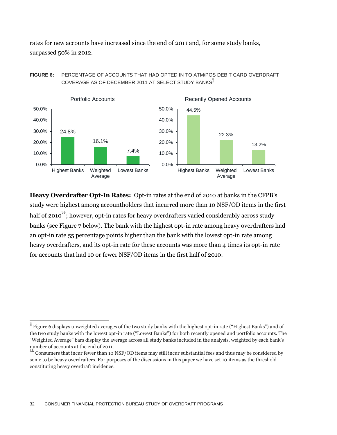rates for new accounts have increased since the end of 2011 and, for some study banks, surpassed 50% in 2012.

#### **FIGURE 6:** PERCENTAGE OF ACCOUNTS THAT HAD OPTED IN TO ATM/POS DEBIT CARD OVERDRAFT COVERAGE AS OF DECEMBER 2011 AT SELECT STUDY BANKS<sup>ij</sup>



**Heavy Overdrafter Opt-In Rates:** Opt-in rates at the end of 2010 at banks in the CFPB's study were highest among accountholders that incurred more than 10 NSF/OD items in the first half of 2010<sup>kk</sup>; however, opt-in rates for heavy overdrafters varied considerably across study banks (see Figure 7 below). The bank with the highest opt-in rate among heavy overdrafters had an opt-in rate 55 percentage points higher than the bank with the lowest opt-in rate among heavy overdrafters, and its opt-in rate for these accounts was more than 4 times its opt-in rate for accounts that had 10 or fewer NSF/OD items in the first half of 2010.

 $\overline{\phantom{a}}$ 

 $\overline{y}$  Figure 6 displays unweighted averages of the two study banks with the highest opt-in rate ("Highest Banks") and of the two study banks with the lowest opt-in rate ("Lowest Banks") for both recently opened and portfolio accounts. The "Weighted Average" bars display the average across all study banks included in the analysis, weighted by each bank's number of accounts at the end of 2011.

Consumers that incur fewer than 10 NSF/OD items may still incur substantial fees and thus may be considered by some to be heavy overdrafters. For purposes of the discussions in this paper we have set 10 items as the threshold constituting heavy overdraft incidence.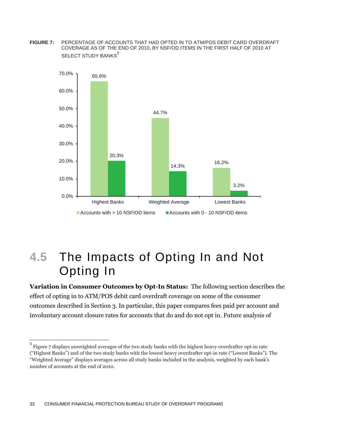**FIGURE 7:** PERCENTAGE OF ACCOUNTS THAT HAD OPTED IN TO ATM/POS DEBIT CARD OVERDRAFT COVERAGE AS OF THE END OF 2010, BY NSF/OD ITEMS IN THE FIRST HALF OF 2010 AT SELECT STUDY BANKS<sup>II</sup>



### **4.5** The Impacts of Opting In and Not Opting In

**Variation in Consumer Outcomes by Opt-In Status:** The following section describes the effect of opting in to ATM/POS debit card overdraft coverage on some of the consumer outcomes described in Section 3. In particular, this paper compares fees paid per account and involuntary account closure rates for accounts that do and do not opt in. Future analysis of

 $\rm ll$ Figure 7 displays unweighted averages of the two study banks with the highest heavy overdrafter opt-in rate ("Highest Banks") and of the two study banks with the lowest heavy overdrafter opt-in rate ("Lowest Banks"). The "Weighted Average" displays averages across all study banks included in the analysis, weighted by each bank's number of accounts at the end of 2010.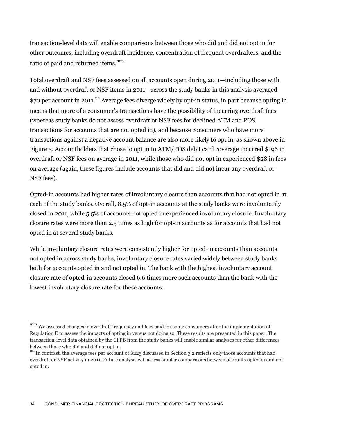transaction-level data will enable comparisons between those who did and did not opt in for other outcomes, including overdraft incidence, concentration of frequent overdrafters, and the ratio of paid and returned items.<sup>mm</sup>

Total overdraft and NSF fees assessed on all accounts open during 2011—including those with and without overdraft or NSF items in 2011—across the study banks in this analysis averaged \$70 per account in 2011.<sup>nn</sup> Average fees diverge widely by opt-in status, in part because opting in means that more of a consumer's transactions have the possibility of incurring overdraft fees (whereas study banks do not assess overdraft or NSF fees for declined ATM and POS transactions for accounts that are not opted in), and because consumers who have more transactions against a negative account balance are also more likely to opt in, as shown above in Figure 5. Accountholders that chose to opt in to ATM/POS debit card coverage incurred \$196 in overdraft or NSF fees on average in 2011, while those who did not opt in experienced \$28 in fees on average (again, these figures include accounts that did and did not incur any overdraft or NSF fees).

Opted-in accounts had higher rates of involuntary closure than accounts that had not opted in at each of the study banks. Overall, 8.5% of opt-in accounts at the study banks were involuntarily closed in 2011, while 5.5% of accounts not opted in experienced involuntary closure. Involuntary closure rates were more than 2.5 times as high for opt-in accounts as for accounts that had not opted in at several study banks.

While involuntary closure rates were consistently higher for opted-in accounts than accounts not opted in across study banks, involuntary closure rates varied widely between study banks both for accounts opted in and not opted in. The bank with the highest involuntary account closure rate of opted-in accounts closed 6.6 times more such accounts than the bank with the lowest involuntary closure rate for these accounts.

mm We assessed changes in overdraft frequency and fees paid for some consumers after the implementation of Regulation E to assess the impacts of opting in versus not doing so. These results are presented in this paper. The transaction-level data obtained by the CFPB from the study banks will enable similar analyses for other differences between those who did and did not opt in.

nn In contrast, the average fees per account of \$225 discussed in Section 3.2 reflects only those accounts that had overdraft or NSF activity in 2011. Future analysis will assess similar comparisons between accounts opted in and not opted in.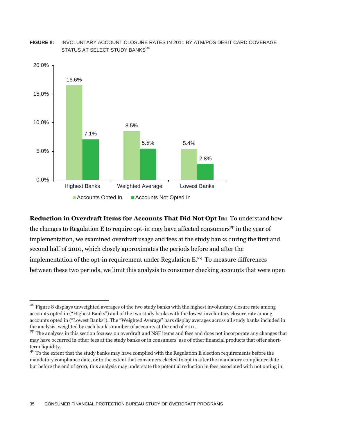#### **FIGURE 8:** INVOLUNTARY ACCOUNT CLOSURE RATES IN 2011 BY ATM/POS DEBIT CARD COVERAGE STATUS AT SELECT STUDY BANKS $^{\rm oo}$



#### **Reduction in Overdraft Items for Accounts That Did Not Opt In:** To understand how

the changes to Regulation E to require opt-in may have affected consumers<sup>pp</sup> in the year of implementation, we examined overdraft usage and fees at the study banks during the first and second half of 2010, which closely approximates the periods before and after the implementation of the opt-in requirement under Regulation  $E^{qq}$  To measure differences between these two periods, we limit this analysis to consumer checking accounts that were open

 $\rm{^{00}}$  Figure 8 displays unweighted averages of the two study banks with the highest involuntary closure rate among accounts opted in ("Highest Banks") and of the two study banks with the lowest involuntary closure rate among accounts opted in ("Lowest Banks"). The "Weighted Average" bars display averages across all study banks included in the analysis, weighted by each bank's number of accounts at the end of 2011.

PP The analyses in this section focuses on overdraft and NSF items and fees and does not incorporate any changes that may have occurred in other fees at the study banks or in consumers' use of other financial products that offer shortterm liquidity.

 $q\bar{q}$  To the extent that the study banks may have complied with the Regulation E election requirements before the mandatory compliance date, or to the extent that consumers elected to opt in after the mandatory compliance date but before the end of 2010, this analysis may understate the potential reduction in fees associated with not opting in.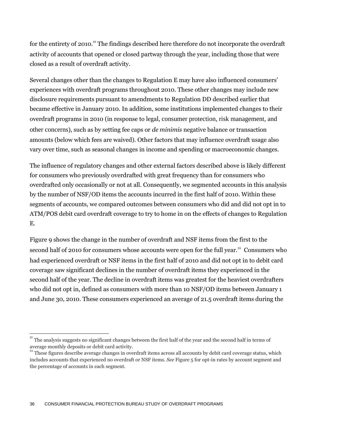for the entirety of 2010.<sup> $r$ </sup> The findings described here therefore do not incorporate the overdraft activity of accounts that opened or closed partway through the year, including those that were closed as a result of overdraft activity.

Several changes other than the changes to Regulation E may have also influenced consumers' experiences with overdraft programs throughout 2010. These other changes may include new disclosure requirements pursuant to amendments to Regulation DD described earlier that became effective in January 2010. In addition, some institutions implemented changes to their overdraft programs in 2010 (in response to legal, consumer protection, risk management, and other concerns), such as by setting fee caps or *de minimis* negative balance or transaction amounts (below which fees are waived). Other factors that may influence overdraft usage also vary over time, such as seasonal changes in income and spending or macroeconomic changes.

The influence of regulatory changes and other external factors described above is likely different for consumers who previously overdrafted with great frequency than for consumers who overdrafted only occasionally or not at all. Consequently, we segmented accounts in this analysis by the number of NSF/OD items the accounts incurred in the first half of 2010. Within these segments of accounts, we compared outcomes between consumers who did and did not opt in to ATM/POS debit card overdraft coverage to try to home in on the effects of changes to Regulation E.

Figure 9 shows the change in the number of overdraft and NSF items from the first to the second half of 2010 for consumers whose accounts were open for the full year.<sup>ss</sup> Consumers who had experienced overdraft or NSF items in the first half of 2010 and did not opt in to debit card coverage saw significant declines in the number of overdraft items they experienced in the second half of the year. The decline in overdraft items was greatest for the heaviest overdrafters who did not opt in, defined as consumers with more than 10 NSF/OD items between January 1 and June 30, 2010. These consumers experienced an average of 21.5 overdraft items during the

rr The analysis suggests no significant changes between the first half of the year and the second half in terms of average monthly deposits or debit card activity.

These figures describe average changes in overdraft items across all accounts by debit card coverage status, which includes accounts that experienced no overdraft or NSF items. *See* Figure 5 for opt-in rates by account segment and the percentage of accounts in each segment.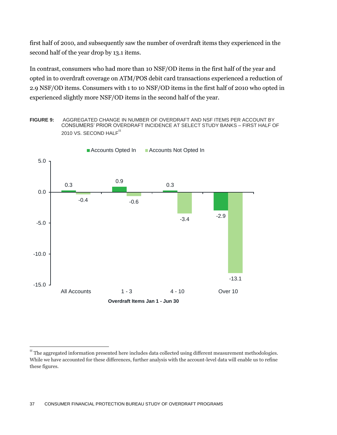first half of 2010, and subsequently saw the number of overdraft items they experienced in the second half of the year drop by 13.1 items.

In contrast, consumers who had more than 10 NSF/OD items in the first half of the year and opted in to overdraft coverage on ATM/POS debit card transactions experienced a reduction of 2.9 NSF/OD items. Consumers with 1 to 10 NSF/OD items in the first half of 2010 who opted in experienced slightly more NSF/OD items in the second half of the year.

**FIGURE 9:** AGGREGATED CHANGE IN NUMBER OF OVERDRAFT AND NSF ITEMS PER ACCOUNT BY CONSUMERS' PRIOR OVERDRAFT INCIDENCE AT SELECT STUDY BANKS – FIRST HALF OF 2010 VS. SECOND HALF<sup>tt</sup>



<sup>&</sup>lt;sup>tt</sup> The aggregated information presented here includes data collected using different measurement methodologies. While we have accounted for these differences, further analysis with the account-level data will enable us to refine these figures.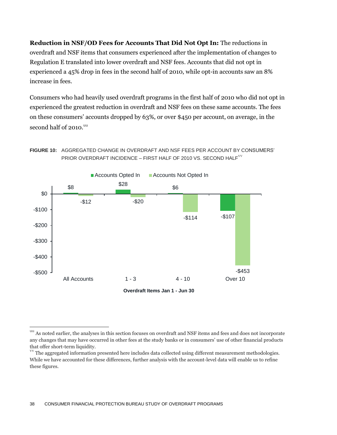**Reduction in NSF/OD Fees for Accounts That Did Not Opt In:** The reductions in overdraft and NSF items that consumers experienced after the implementation of changes to Regulation E translated into lower overdraft and NSF fees. Accounts that did not opt in experienced a 45% drop in fees in the second half of 2010, while opt-in accounts saw an 8% increase in fees.

Consumers who had heavily used overdraft programs in the first half of 2010 who did not opt in experienced the greatest reduction in overdraft and NSF fees on these same accounts. The fees on these consumers' accounts dropped by 63%, or over \$450 per account, on average, in the second half of 2010.<sup>uu</sup>





<sup>&</sup>lt;sup>uu</sup> As noted earlier, the analyses in this section focuses on overdraft and NSF items and fees and does not incorporate any changes that may have occurred in other fees at the study banks or in consumers' use of other financial products that offer short-term liquidity.

The aggregated information presented here includes data collected using different measurement methodologies. While we have accounted for these differences, further analysis with the account-level data will enable us to refine these figures.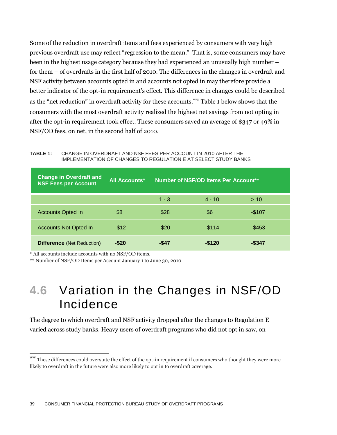Some of the reduction in overdraft items and fees experienced by consumers with very high previous overdraft use may reflect "regression to the mean." That is, some consumers may have been in the highest usage category because they had experienced an unusually high number – for them – of overdrafts in the first half of 2010. The differences in the changes in overdraft and NSF activity between accounts opted in and accounts not opted in may therefore provide a better indicator of the opt-in requirement's effect. This difference in changes could be described as the "net reduction" in overdraft activity for these accounts. We Table 1 below shows that the consumers with the most overdraft activity realized the highest net savings from not opting in after the opt-in requirement took effect. These consumers saved an average of \$347 or 49% in NSF/OD fees, on net, in the second half of 2010.

**TABLE 1:** CHANGE IN OVERDRAFT AND NSF FEES PER ACCOUNT IN 2010 AFTER THE IMPLEMENTATION OF CHANGES TO REGULATION E AT SELECT STUDY BANKS

| <b>Change in Overdraft and</b><br>NSF Fees per Account | <b>All Accounts*</b> | Number of NSF/OD Items Per Account** |           |           |
|--------------------------------------------------------|----------------------|--------------------------------------|-----------|-----------|
|                                                        |                      | $1 - 3$                              | $4 - 10$  | > 10      |
| <b>Accounts Opted In</b>                               | \$8                  | \$28                                 | \$6       | $-$107$   |
| <b>Accounts Not Opted In</b>                           | $-$ \$12             | $-$ \$20                             | $-$ \$114 | $-$ \$453 |
| <b>Difference (Net Reduction)</b>                      | $-$ \$20             | -\$47                                | $-$120$   | -\$347    |

\* All accounts include accounts with no NSF/OD items.

 $\overline{a}$ 

\*\* Number of NSF/OD Items per Account January 1 to June 30, 2010

### **4.6** Variation in the Changes in NSF/OD Incidence

The degree to which overdraft and NSF activity dropped after the changes to Regulation E varied across study banks. Heavy users of overdraft programs who did not opt in saw, on

ww These differences could overstate the effect of the opt-in requirement if consumers who thought they were more likely to overdraft in the future were also more likely to opt in to overdraft coverage.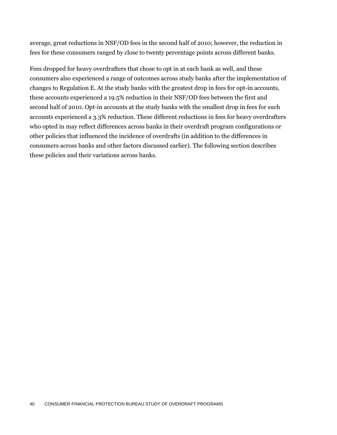average, great reductions in NSF/OD fees in the second half of 2010; however, the reduction in fees for these consumers ranged by close to twenty percentage points across different banks.

Fees dropped for heavy overdrafters that chose to opt in at each bank as well, and these consumers also experienced a range of outcomes across study banks after the implementation of changes to Regulation E. At the study banks with the greatest drop in fees for opt-in accounts, these accounts experienced a 19.5% reduction in their NSF/OD fees between the first and second half of 2010. Opt-in accounts at the study banks with the smallest drop in fees for such accounts experienced a 3.3% reduction. These different reductions in fees for heavy overdrafters who opted in may reflect differences across banks in their overdraft program configurations or other policies that influenced the incidence of overdrafts (in addition to the differences in consumers across banks and other factors discussed earlier). The following section describes these policies and their variations across banks.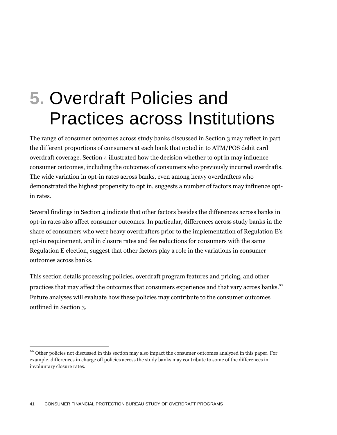# **5.** Overdraft Policies and Practices across Institutions

The range of consumer outcomes across study banks discussed in Section 3 may reflect in part the different proportions of consumers at each bank that opted in to ATM/POS debit card overdraft coverage. Section 4 illustrated how the decision whether to opt in may influence consumer outcomes, including the outcomes of consumers who previously incurred overdrafts. The wide variation in opt-in rates across banks, even among heavy overdrafters who demonstrated the highest propensity to opt in, suggests a number of factors may influence optin rates.

Several findings in Section 4 indicate that other factors besides the differences across banks in opt-in rates also affect consumer outcomes. In particular, differences across study banks in the share of consumers who were heavy overdrafters prior to the implementation of Regulation E's opt-in requirement, and in closure rates and fee reductions for consumers with the same Regulation E election, suggest that other factors play a role in the variations in consumer outcomes across banks.

This section details processing policies, overdraft program features and pricing, and other practices that may affect the outcomes that consumers experience and that vary across banks.<sup>xx</sup> Future analyses will evaluate how these policies may contribute to the consumer outcomes outlined in Section 3.

Other policies not discussed in this section may also impact the consumer outcomes analyzed in this paper. For example, differences in charge off policies across the study banks may contribute to some of the differences in involuntary closure rates.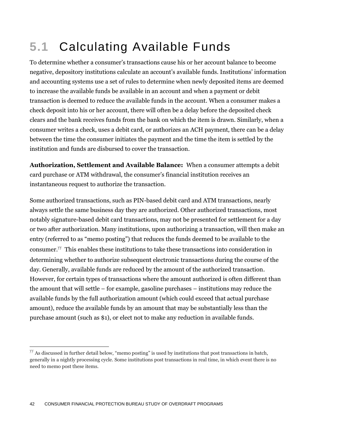## **5.1** Calculating Available Funds

To determine whether a consumer's transactions cause his or her account balance to become negative, depository institutions calculate an account's available funds. Institutions' information and accounting systems use a set of rules to determine when newly deposited items are deemed to increase the available funds be available in an account and when a payment or debit transaction is deemed to reduce the available funds in the account. When a consumer makes a check deposit into his or her account, there will often be a delay before the deposited check clears and the bank receives funds from the bank on which the item is drawn. Similarly, when a consumer writes a check, uses a debit card, or authorizes an ACH payment, there can be a delay between the time the consumer initiates the payment and the time the item is settled by the institution and funds are disbursed to cover the transaction.

**Authorization, Settlement and Available Balance:** When a consumer attempts a debit card purchase or ATM withdrawal, the consumer's financial institution receives an instantaneous request to authorize the transaction.

Some authorized transactions, such as PIN-based debit card and ATM transactions, nearly always settle the same business day they are authorized. Other authorized transactions, most notably signature-based debit card transactions, may not be presented for settlement for a day or two after authorization. Many institutions, upon authorizing a transaction, will then make an entry (referred to as "memo posting") that reduces the funds deemed to be available to the consumer.<sup>yy</sup> This enables these institutions to take these transactions into consideration in determining whether to authorize subsequent electronic transactions during the course of the day. Generally, available funds are reduced by the amount of the authorized transaction. However, for certain types of transactions where the amount authorized is often different than the amount that will settle – for example, gasoline purchases – institutions may reduce the available funds by the full authorization amount (which could exceed that actual purchase amount), reduce the available funds by an amount that may be substantially less than the purchase amount (such as \$1), or elect not to make any reduction in available funds.

 $\gamma$ <sup>yy</sup> As discussed in further detail below, "memo posting" is used by institutions that post transactions in batch, generally in a nightly processing cycle. Some institutions post transactions in real time, in which event there is no need to memo post these items.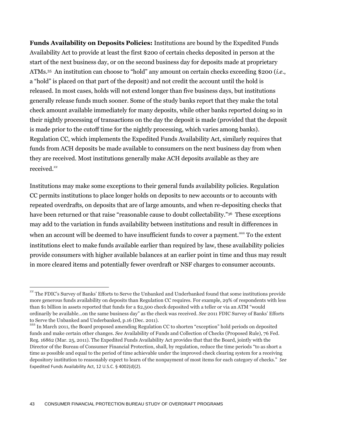**Funds Availability on Deposits Policies:** Institutions are bound by the Expedited Funds Availability Act to provide at least the first \$200 of certain checks deposited in person at the start of the next business day, or on the second business day for deposits made at proprietary ATMs.<sup>35</sup> An institution can choose to "hold" any amount on certain checks exceeding \$200 (*i.e.*, a "hold" is placed on that part of the deposit) and not credit the account until the hold is released. In most cases, holds will not extend longer than five business days, but institutions generally release funds much sooner. Some of the study banks report that they make the total check amount available immediately for many deposits, while other banks reported doing so in their nightly processing of transactions on the day the deposit is made (provided that the deposit is made prior to the cutoff time for the nightly processing, which varies among banks). Regulation CC, which implements the Expedited Funds Availability Act, similarly requires that funds from ACH deposits be made available to consumers on the next business day from when they are received. Most institutions generally make ACH deposits available as they are received.<sup>zz</sup>

Institutions may make some exceptions to their general funds availability policies. Regulation CC permits institutions to place longer holds on deposits to new accounts or to accounts with repeated overdrafts, on deposits that are of large amounts, and when re-depositing checks that have been returned or that raise "reasonable cause to doubt collectability."<sup>36</sup> These exceptions may add to the variation in funds availability between institutions and result in differences in when an account will be deemed to have insufficient funds to cover a payment.<sup>aaa</sup> To the extent institutions elect to make funds available earlier than required by law, these availability policies provide consumers with higher available balances at an earlier point in time and thus may result in more cleared items and potentially fewer overdraft or NSF charges to consumer accounts.

 $Z^{\text{ZZ}}$  The FDIC's Survey of Banks' Efforts to Serve the Unbanked and Underbanked found that some institutions provide more generous funds availability on deposits than Regulation CC requires. For example, 29% of respondents with less than \$1 billion in assets reported that funds for a \$2,500 check deposited with a teller or via an ATM "would ordinarily be available…on the same business day" as the check was received. *See* 2011 FDIC Survey of Banks' Efforts to Serve the Unbanked and Underbanked, p.16 (Dec. 2011).

aaa In March 2011, the Board proposed amending Regulation CC to shorten "exception" hold periods on deposited funds and make certain other changes. *See* Availability of Funds and Collection of Checks (Proposed Rule), 76 Fed. Reg. 16862 (Mar. 25, 2011). The Expedited Funds Availability Act provides that that the Board, jointly with the Director of the Bureau of Consumer Financial Protection, shall, by regulation, reduce the time periods "to as short a time as possible and equal to the period of time achievable under the improved check clearing system for a receiving depository institution to reasonably expect to learn of the nonpayment of most items for each category of checks." *See*  Expedited Funds Availability Act, 12 U.S.C. § 4002(d)(2).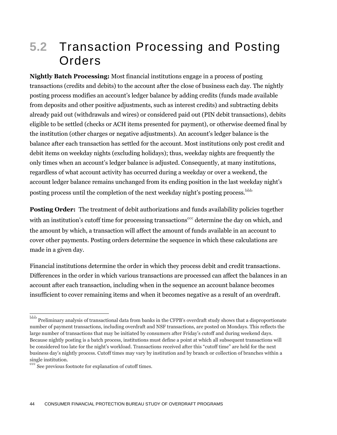## **5.2** Transaction Processing and Posting Orders

**Nightly Batch Processing:** Most financial institutions engage in a process of posting transactions (credits and debits) to the account after the close of business each day. The nightly posting process modifies an account's ledger balance by adding credits (funds made available from deposits and other positive adjustments, such as interest credits) and subtracting debits already paid out (withdrawals and wires) or considered paid out (PIN debit transactions), debits eligible to be settled (checks or ACH items presented for payment), or otherwise deemed final by the institution (other charges or negative adjustments). An account's ledger balance is the balance after each transaction has settled for the account. Most institutions only post credit and debit items on weekday nights (excluding holidays); thus, weekday nights are frequently the only times when an account's ledger balance is adjusted. Consequently, at many institutions, regardless of what account activity has occurred during a weekday or over a weekend, the account ledger balance remains unchanged from its ending position in the last weekday night's posting process until the completion of the next weekday night's posting process.<sup>bbb</sup>

**Posting Order:** The treatment of debit authorizations and funds availability policies together with an institution's cutoff time for processing transactions<sup> $ccc$ </sup> determine the day on which, and the amount by which, a transaction will affect the amount of funds available in an account to cover other payments. Posting orders determine the sequence in which these calculations are made in a given day.

Financial institutions determine the order in which they process debit and credit transactions. Differences in the order in which various transactions are processed can affect the balances in an account after each transaction, including when in the sequence an account balance becomes insufficient to cover remaining items and when it becomes negative as a result of an overdraft.

  $^{\rm bbb}$  Preliminary analysis of transactional data from banks in the CFPB's overdraft study shows that a disproportionate number of payment transactions, including overdraft and NSF transactions, are posted on Mondays. This reflects the large number of transactions that may be initiated by consumers after Friday's cutoff and during weekend days. Because nightly posting is a batch process, institutions must define a point at which all subsequent transactions will be considered too late for the night's workload. Transactions received after this "cutoff time" are held for the next business day's nightly process. Cutoff times may vary by institution and by branch or collection of branches within a single institution.

ccc See previous footnote for explanation of cutoff times.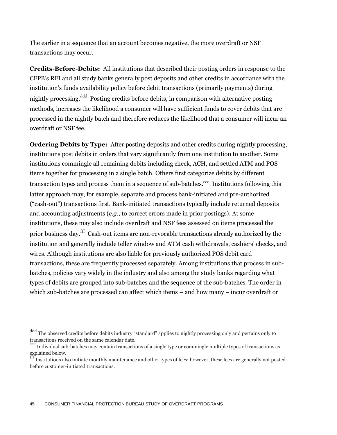The earlier in a sequence that an account becomes negative, the more overdraft or NSF transactions may occur.

**Credits-Before-Debits:** All institutions that described their posting orders in response to the CFPB's RFI and all study banks generally post deposits and other credits in accordance with the institution's funds availability policy before debit transactions (primarily payments) during nightly processing.<sup>ddd</sup> Posting credits before debits, in comparison with alternative posting methods, increases the likelihood a consumer will have sufficient funds to cover debits that are processed in the nightly batch and therefore reduces the likelihood that a consumer will incur an overdraft or NSF fee.

**Ordering Debits by Type:** After posting deposits and other credits during nightly processing, institutions post debits in orders that vary significantly from one institution to another. Some institutions commingle all remaining debits including check, ACH, and settled ATM and POS items together for processing in a single batch. Others first categorize debits by different transaction types and process them in a sequence of sub-batches.<sup>eee</sup> Institutions following this latter approach may, for example, separate and process bank-initiated and pre-authorized ("cash-out") transactions first. Bank-initiated transactions typically include returned deposits and accounting adjustments (*e.g.*, to correct errors made in prior postings). At some institutions, these may also include overdraft and NSF fees assessed on items processed the prior business day.fff Cash-out items are non-revocable transactions already authorized by the institution and generally include teller window and ATM cash withdrawals, cashiers' checks, and wires. Although institutions are also liable for previously authorized POS debit card transactions, these are frequently processed separately. Among institutions that process in subbatches, policies vary widely in the industry and also among the study banks regarding what types of debits are grouped into sub-batches and the sequence of the sub-batches. The order in which sub-batches are processed can affect which items – and how many – incur overdraft or

 $\overline{\phantom{a}}$ 

<sup>&</sup>lt;sup>ddd</sup> The observed credits before debits industry "standard" applies to nightly processing only and pertains only to transactions received on the same calendar date.

eee Individual sub-batches may contain transactions of a single type or commingle multiple types of transactions as explained below.

Institutions also initiate monthly maintenance and other types of fees; however, these fees are generally not posted before customer-initiated transactions.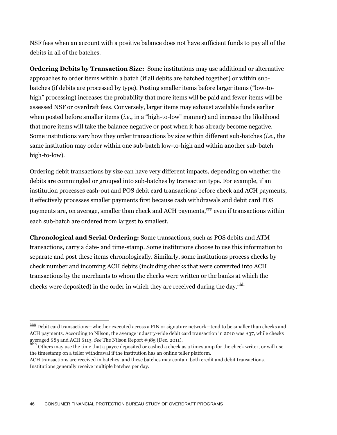NSF fees when an account with a positive balance does not have sufficient funds to pay all of the debits in all of the batches.

**Ordering Debits by Transaction Size:** Some institutions may use additional or alternative approaches to order items within a batch (if all debits are batched together) or within subbatches (if debits are processed by type). Posting smaller items before larger items ("low-tohigh" processing) increases the probability that more items will be paid and fewer items will be assessed NSF or overdraft fees. Conversely, larger items may exhaust available funds earlier when posted before smaller items (*i.e.*, in a "high-to-low" manner) and increase the likelihood that more items will take the balance negative or post when it has already become negative. Some institutions vary how they order transactions by size within different sub-batches (*i.e.,* the same institution may order within one sub-batch low-to-high and within another sub-batch high-to-low).

Ordering debit transactions by size can have very different impacts, depending on whether the debits are commingled or grouped into sub-batches by transaction type. For example, if an institution processes cash-out and POS debit card transactions before check and ACH payments, it effectively processes smaller payments first because cash withdrawals and debit card POS payments are, on average, smaller than check and ACH payments, see even if transactions within each sub-batch are ordered from largest to smallest.

**Chronological and Serial Ordering:** Some transactions, such as POS debits and ATM transactions, carry a date- and time-stamp. Some institutions choose to use this information to separate and post these items chronologically. Similarly, some institutions process checks by check number and incoming ACH debits (including checks that were converted into ACH transactions by the merchants to whom the checks were written or the banks at which the checks were deposited) in the order in which they are received during the day. $^{hhh}$ 

 $^{ggg}$  Debit card transactions—whether executed across a PIN or signature network—tend to be smaller than checks and ACH payments. According to Nilson, the average industry-wide debit card transaction in 2010 was \$37, while checks averaged \$85 and ACH \$113. *See* The Nilson Report #985 (Dec. 2011).

Others may use the time that a payee deposited or cashed a check as a timestamp for the check writer, or will use the timestamp on a teller withdrawal if the institution has an online teller platform.

ACH transactions are received in batches, and these batches may contain both credit and debit transactions. Institutions generally receive multiple batches per day.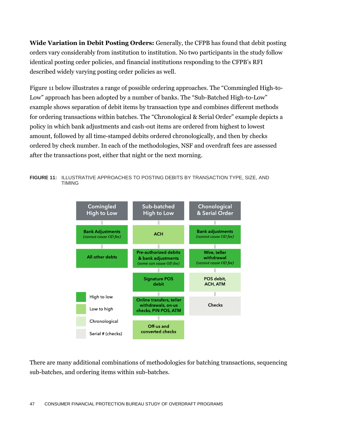**Wide Variation in Debit Posting Orders:** Generally, the CFPB has found that debit posting orders vary considerably from institution to institution. No two participants in the study follow identical posting order policies, and financial institutions responding to the CFPB's RFI described widely varying posting order policies as well.

Figure 11 below illustrates a range of possible ordering approaches. The "Commingled High-to-Low" approach has been adopted by a number of banks. The "Sub-Batched High-to-Low" example shows separation of debit items by transaction type and combines different methods for ordering transactions within batches. The "Chronological & Serial Order" example depicts a policy in which bank adjustments and cash-out items are ordered from highest to lowest amount, followed by all time-stamped debits ordered chronologically, and then by checks ordered by check number. In each of the methodologies, NSF and overdraft fees are assessed after the transactions post, either that night or the next morning.

**FIGURE 11:** ILLUSTRATIVE APPROACHES TO POSTING DEBITS BY TRANSACTION TYPE, SIZE, AND TIMING



There are many additional combinations of methodologies for batching transactions, sequencing sub-batches, and ordering items within sub-batches.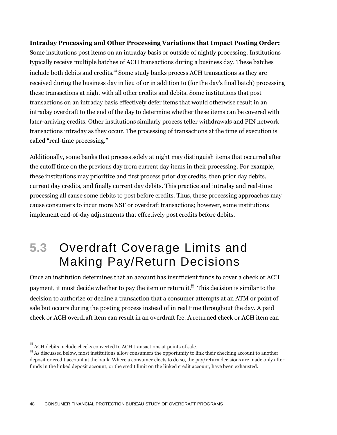#### **Intraday Processing and Other Processing Variations that Impact Posting Order:**

Some institutions post items on an intraday basis or outside of nightly processing. Institutions typically receive multiple batches of ACH transactions during a business day. These batches include both debits and credits. ii Some study banks process ACH transactions as they are received during the business day in lieu of or in addition to (for the day's final batch) processing these transactions at night with all other credits and debits. Some institutions that post transactions on an intraday basis effectively defer items that would otherwise result in an intraday overdraft to the end of the day to determine whether these items can be covered with later-arriving credits. Other institutions similarly process teller withdrawals and PIN network transactions intraday as they occur. The processing of transactions at the time of execution is called "real-time processing."

Additionally, some banks that process solely at night may distinguish items that occurred after the cutoff time on the previous day from current day items in their processing. For example, these institutions may prioritize and first process prior day credits, then prior day debits, current day credits, and finally current day debits. This practice and intraday and real-time processing all cause some debits to post before credits. Thus, these processing approaches may cause consumers to incur more NSF or overdraft transactions; however, some institutions implement end-of-day adjustments that effectively post credits before debits.

## **5.3** Overdraft Coverage Limits and Making Pay/Return Decisions

Once an institution determines that an account has insufficient funds to cover a check or ACH payment, it must decide whether to pay the item or return it. $^{jjj}$  This decision is similar to the decision to authorize or decline a transaction that a consumer attempts at an ATM or point of sale but occurs during the posting process instead of in real time throughout the day. A paid check or ACH overdraft item can result in an overdraft fee. A returned check or ACH item can

 $\overline{\phantom{a}}$ 

 $\stackrel{\text{\tiny iii}}{\rule{0pt}{0.5pt}}$  ACH debits include checks converted to ACH transactions at points of sale.

jij As discussed below, most institutions allow consumers the opportunity to link their checking account to another deposit or credit account at the bank. Where a consumer elects to do so, the pay/return decisions are made only after funds in the linked deposit account, or the credit limit on the linked credit account, have been exhausted.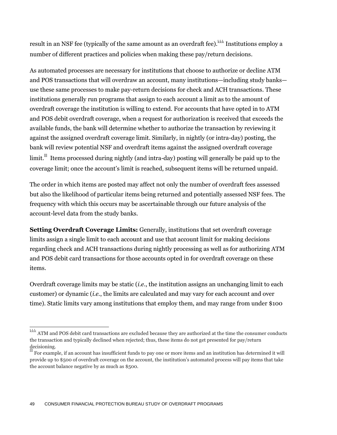result in an NSF fee (typically of the same amount as an overdraft fee).<sup>kkk</sup> Institutions employ a number of different practices and policies when making these pay/return decisions.

As automated processes are necessary for institutions that choose to authorize or decline ATM and POS transactions that will overdraw an account, many institutions—including study banks use these same processes to make pay-return decisions for check and ACH transactions. These institutions generally run programs that assign to each account a limit as to the amount of overdraft coverage the institution is willing to extend. For accounts that have opted in to ATM and POS debit overdraft coverage, when a request for authorization is received that exceeds the available funds, the bank will determine whether to authorize the transaction by reviewing it against the assigned overdraft coverage limit. Similarly, in nightly (or intra-day) posting, the bank will review potential NSF and overdraft items against the assigned overdraft coverage  $\lim$ it. $\mathbb {I}^{\parallel}$  Items processed during nightly (and intra-day) posting will generally be paid up to the coverage limit; once the account's limit is reached, subsequent items will be returned unpaid.

The order in which items are posted may affect not only the number of overdraft fees assessed but also the likelihood of particular items being returned and potentially assessed NSF fees. The frequency with which this occurs may be ascertainable through our future analysis of the account-level data from the study banks.

**Setting Overdraft Coverage Limits:** Generally, institutions that set overdraft coverage limits assign a single limit to each account and use that account limit for making decisions regarding check and ACH transactions during nightly processing as well as for authorizing ATM and POS debit card transactions for those accounts opted in for overdraft coverage on these items.

Overdraft coverage limits may be static (*i.e.*, the institution assigns an unchanging limit to each customer) or dynamic (*i.e.*, the limits are calculated and may vary for each account and over time). Static limits vary among institutions that employ them, and may range from under \$100

 $\frac{k}{k}$  ATM and POS debit card transactions are excluded because they are authorized at the time the consumer conducts the transaction and typically declined when rejected; thus, these items do not get presented for pay/return decisioning.

For example, if an account has insufficient funds to pay one or more items and an institution has determined it will provide up to \$500 of overdraft coverage on the account, the institution's automated process will pay items that take the account balance negative by as much as \$500.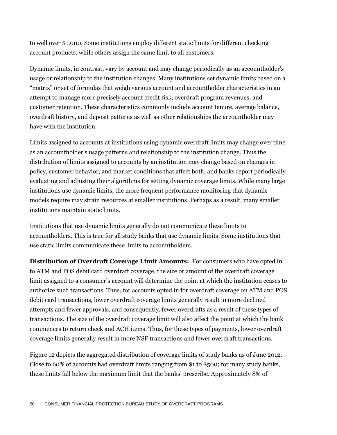to well over \$1,000. Some institutions employ different static limits for different checking account products, while others assign the same limit to all customers.

Dynamic limits, in contrast, vary by account and may change periodically as an accountholder's usage or relationship to the institution changes. Many institutions set dynamic limits based on a "matrix" or set of formulas that weigh various account and accountholder characteristics in an attempt to manage more precisely account credit risk, overdraft program revenues, and customer retention. These characteristics commonly include account tenure, average balance, overdraft history, and deposit patterns as well as other relationships the accountholder may have with the institution.

Limits assigned to accounts at institutions using dynamic overdraft limits may change over time as an accountholder's usage patterns and relationship to the institution change. Thus the distribution of limits assigned to accounts by an institution may change based on changes in policy, customer behavior, and market conditions that affect both, and banks report periodically evaluating and adjusting their algorithms for setting dynamic coverage limits. While many large institutions use dynamic limits, the more frequent performance monitoring that dynamic models require may strain resources at smaller institutions. Perhaps as a result, many smaller institutions maintain static limits.

Institutions that use dynamic limits generally do not communicate these limits to accountholders. This is true for all study banks that use dynamic limits. Some institutions that use static limits communicate these limits to accountholders.

**Distribution of Overdraft Coverage Limit Amounts:** For consumers who have opted in to ATM and POS debit card overdraft coverage, the size or amount of the overdraft coverage limit assigned to a consumer's account will determine the point at which the institution ceases to authorize such transactions. Thus, for accounts opted in for overdraft coverage on ATM and POS debit card transactions, lower overdraft coverage limits generally result in more declined attempts and fewer approvals, and consequently, fewer overdrafts as a result of these types of transactions. The size of the overdraft coverage limit will also affect the point at which the bank commences to return check and ACH items. Thus, for these types of payments, lower overdraft coverage limits generally result in more NSF transactions and fewer overdraft transactions.

Figure 12 depicts the aggregated distribution of coverage limits of study banks as of June 2012. Close to 60% of accounts had overdraft limits ranging from \$1 to \$500; for many study banks, these limits fall below the maximum limit that the banks' prescribe. Approximately 8% of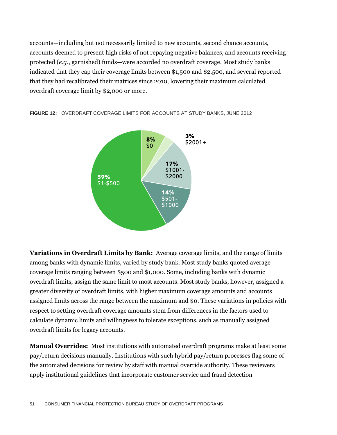accounts—including but not necessarily limited to new accounts, second chance accounts, accounts deemed to present high risks of not repaying negative balances, and accounts receiving protected (*e.g.*, garnished) funds—were accorded no overdraft coverage. Most study banks indicated that they cap their coverage limits between \$1,500 and \$2,500, and several reported that they had recalibrated their matrices since 2010, lowering their maximum calculated overdraft coverage limit by \$2,000 or more.





**Variations in Overdraft Limits by Bank:** Average coverage limits, and the range of limits among banks with dynamic limits, varied by study bank. Most study banks quoted average coverage limits ranging between \$500 and \$1,000. Some, including banks with dynamic overdraft limits, assign the same limit to most accounts. Most study banks, however, assigned a greater diversity of overdraft limits, with higher maximum coverage amounts and accounts assigned limits across the range between the maximum and \$0. These variations in policies with respect to setting overdraft coverage amounts stem from differences in the factors used to calculate dynamic limits and willingness to tolerate exceptions, such as manually assigned overdraft limits for legacy accounts.

**Manual Overrides:** Most institutions with automated overdraft programs make at least some pay/return decisions manually. Institutions with such hybrid pay/return processes flag some of the automated decisions for review by staff with manual override authority. These reviewers apply institutional guidelines that incorporate customer service and fraud detection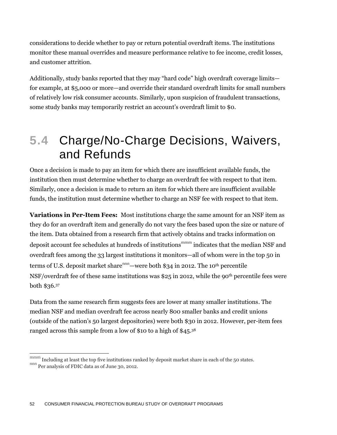considerations to decide whether to pay or return potential overdraft items. The institutions monitor these manual overrides and measure performance relative to fee income, credit losses, and customer attrition.

Additionally, study banks reported that they may "hard code" high overdraft coverage limits for example, at \$5,000 or more—and override their standard overdraft limits for small numbers of relatively low risk consumer accounts. Similarly, upon suspicion of fraudulent transactions, some study banks may temporarily restrict an account's overdraft limit to \$0.

## **5.4** Charge/No-Charge Decisions, Waivers, and Refunds

Once a decision is made to pay an item for which there are insufficient available funds, the institution then must determine whether to charge an overdraft fee with respect to that item. Similarly, once a decision is made to return an item for which there are insufficient available funds, the institution must determine whether to charge an NSF fee with respect to that item.

**Variations in Per-Item Fees:** Most institutions charge the same amount for an NSF item as they do for an overdraft item and generally do not vary the fees based upon the size or nature of the item. Data obtained from a research firm that actively obtains and tracks information on deposit account fee schedules at hundreds of institutions<sup>mmm</sup> indicates that the median NSF and overdraft fees among the 33 largest institutions it monitors—all of whom were in the top 50 in terms of U.S. deposit market share $nm$ —were both \$34 in 2012. The 10<sup>th</sup> percentile NSF/overdraft fee of these same institutions was \$25 in 2012, while the 90th percentile fees were both \$36.<sup>37</sup>

Data from the same research firm suggests fees are lower at many smaller institutions. The median NSF and median overdraft fee across nearly 800 smaller banks and credit unions (outside of the nation's 50 largest depositories) were both \$30 in 2012. However, per-item fees ranged across this sample from a low of \$10 to a high of \$45.<sup>38</sup>

mmm Including at least the top five institutions ranked by deposit market share in each of the 50 states. nnn Per analysis of FDIC data as of June 30, 2012.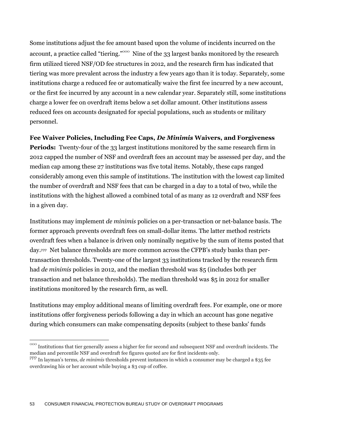Some institutions adjust the fee amount based upon the volume of incidents incurred on the account, a practice called "tiering."<sup>000</sup> Nine of the 33 largest banks monitored by the research firm utilized tiered NSF/OD fee structures in 2012, and the research firm has indicated that tiering was more prevalent across the industry a few years ago than it is today. Separately, some institutions charge a reduced fee or automatically waive the first fee incurred by a new account, or the first fee incurred by any account in a new calendar year. Separately still, some institutions charge a lower fee on overdraft items below a set dollar amount. Other institutions assess reduced fees on accounts designated for special populations, such as students or military personnel.

#### **Fee Waiver Policies, Including Fee Caps,** *De Minimis* **Waivers, and Forgiveness**

**Periods:** Twenty-four of the 33 largest institutions monitored by the same research firm in 2012 capped the number of NSF and overdraft fees an account may be assessed per day, and the median cap among these 27 institutions was five total items. Notably, these caps ranged considerably among even this sample of institutions. The institution with the lowest cap limited the number of overdraft and NSF fees that can be charged in a day to a total of two, while the institutions with the highest allowed a combined total of as many as 12 overdraft and NSF fees in a given day.

Institutions may implement *de minimis* policies on a per-transaction or net-balance basis. The former approach prevents overdraft fees on small-dollar items. The latter method restricts overdraft fees when a balance is driven only nominally negative by the sum of items posted that day. ppp Net balance thresholds are more common across the CFPB's study banks than pertransaction thresholds. Twenty-one of the largest 33 institutions tracked by the research firm had *de minimis* policies in 2012, and the median threshold was \$5 (includes both per transaction and net balance thresholds). The median threshold was \$5 in 2012 for smaller institutions monitored by the research firm, as well.

Institutions may employ additional means of limiting overdraft fees. For example, one or more institutions offer forgiveness periods following a day in which an account has gone negative during which consumers can make compensating deposits (subject to these banks' funds

 $\frac{1}{10000}$  Institutions that tier generally assess a higher fee for second and subsequent NSF and overdraft incidents. The median and percentile NSF and overdraft fee figures quoted are for first incidents only.

ppp In layman's terms, *de minimis* thresholds prevent instances in which a consumer may be charged a \$35 fee overdrawing his or her account while buying a \$3 cup of coffee.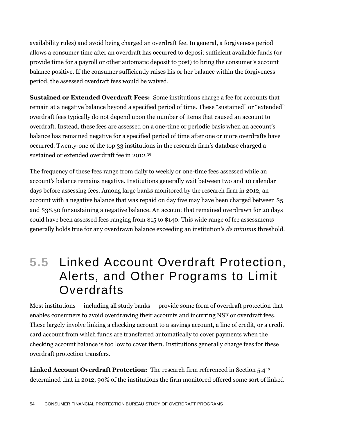availability rules) and avoid being charged an overdraft fee. In general, a forgiveness period allows a consumer time after an overdraft has occurred to deposit sufficient available funds (or provide time for a payroll or other automatic deposit to post) to bring the consumer's account balance positive. If the consumer sufficiently raises his or her balance within the forgiveness period, the assessed overdraft fees would be waived.

**Sustained or Extended Overdraft Fees:** Some institutions charge a fee for accounts that remain at a negative balance beyond a specified period of time. These "sustained" or "extended" overdraft fees typically do not depend upon the number of items that caused an account to overdraft. Instead, these fees are assessed on a one-time or periodic basis when an account's balance has remained negative for a specified period of time after one or more overdrafts have occurred. Twenty-one of the top 33 institutions in the research firm's database charged a sustained or extended overdraft fee in 2012.<sup>39</sup>

The frequency of these fees range from daily to weekly or one-time fees assessed while an account's balance remains negative. Institutions generally wait between two and 10 calendar days before assessing fees. Among large banks monitored by the research firm in 2012, an account with a negative balance that was repaid on day five may have been charged between \$5 and \$38.50 for sustaining a negative balance. An account that remained overdrawn for 20 days could have been assessed fees ranging from \$15 to \$140. This wide range of fee assessments generally holds true for any overdrawn balance exceeding an institution's *de minimis* threshold.

### **5.5** Linked Account Overdraft Protection, Alerts, and Other Programs to Limit **Overdrafts**

Most institutions — including all study banks — provide some form of overdraft protection that enables consumers to avoid overdrawing their accounts and incurring NSF or overdraft fees. These largely involve linking a checking account to a savings account, a line of credit, or a credit card account from which funds are transferred automatically to cover payments when the checking account balance is too low to cover them. Institutions generally charge fees for these overdraft protection transfers.

**Linked Account Overdraft Protection:** The research firm referenced in Section 5.4<sup>40</sup> determined that in 2012, 90% of the institutions the firm monitored offered some sort of linked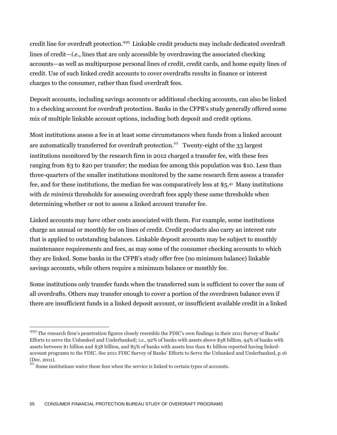credit line for overdraft protection.<sup>qqq</sup> Linkable credit products may include dedicated overdraft lines of credit—*i.e.*, lines that are only accessible by overdrawing the associated checking accounts—as well as multipurpose personal lines of credit, credit cards, and home equity lines of credit. Use of such linked credit accounts to cover overdrafts results in finance or interest charges to the consumer, rather than fixed overdraft fees.

Deposit accounts, including savings accounts or additional checking accounts, can also be linked to a checking account for overdraft protection. Banks in the CFPB's study generally offered some mix of multiple linkable account options, including both deposit and credit options.

Most institutions assess a fee in at least some circumstances when funds from a linked account are automatically transferred for overdraft protection.<sup>rr</sup> Twenty-eight of the 33 largest institutions monitored by the research firm in 2012 charged a transfer fee, with these fees ranging from \$3 to \$20 per transfer; the median fee among this population was \$10. Less than three-quarters of the smaller institutions monitored by the same research firm assess a transfer fee, and for these institutions, the median fee was comparatively less at \$5.<sup>41</sup> Many institutions with *de minimis* thresholds for assessing overdraft fees apply these same thresholds when determining whether or not to assess a linked account transfer fee.

Linked accounts may have other costs associated with them. For example, some institutions charge an annual or monthly fee on lines of credit. Credit products also carry an interest rate that is applied to outstanding balances. Linkable deposit accounts may be subject to monthly maintenance requirements and fees, as may some of the consumer checking accounts to which they are linked. Some banks in the CFPB's study offer free (no minimum balance) linkable savings accounts, while others require a minimum balance or monthly fee.

Some institutions only transfer funds when the transferred sum is sufficient to cover the sum of all overdrafts. Others may transfer enough to cover a portion of the overdrawn balance even if there are insufficient funds in a linked deposit account, or insufficient available credit in a linked

<sup>&</sup>lt;sup>qqq</sup> The research firm's penetration figures closely resemble the FDIC's own findings in their 2011 Survey of Banks' Efforts to serve the Unbanked and Underbanked; *i.e.*, 92% of banks with assets above \$38 billion, 94% of banks with assets between \$1 billion and \$38 billion, and 85% of banks with assets less than \$1 billion reported having linkedaccount programs to the FDIC. *See* 2011 FDIC Survey of Banks' Efforts to Serve the Unbanked and Underbanked, p.16 (Dec. 2011).

rrr Some institutions waive these fees when the service is linked to certain types of accounts.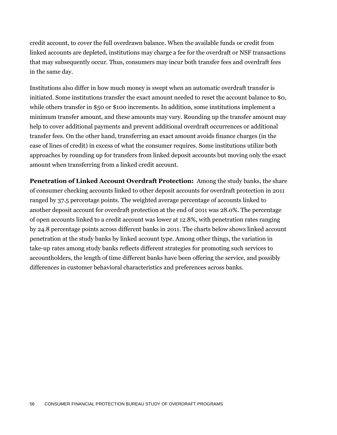credit account, to cover the full overdrawn balance. When the available funds or credit from linked accounts are depleted, institutions may charge a fee for the overdraft or NSF transactions that may subsequently occur. Thus, consumers may incur both transfer fees and overdraft fees in the same day.

Institutions also differ in how much money is swept when an automatic overdraft transfer is initiated. Some institutions transfer the exact amount needed to reset the account balance to \$0, while others transfer in \$50 or \$100 increments. In addition, some institutions implement a minimum transfer amount, and these amounts may vary. Rounding up the transfer amount may help to cover additional payments and prevent additional overdraft occurrences or additional transfer fees. On the other hand, transferring an exact amount avoids finance charges (in the case of lines of credit) in excess of what the consumer requires. Some institutions utilize both approaches by rounding up for transfers from linked deposit accounts but moving only the exact amount when transferring from a linked credit account.

**Penetration of Linked Account Overdraft Protection:** Among the study banks, the share of consumer checking accounts linked to other deposit accounts for overdraft protection in 2011 ranged by 37.5 percentage points. The weighted average percentage of accounts linked to another deposit account for overdraft protection at the end of 2011 was 28.0%. The percentage of open accounts linked to a credit account was lower at 12.8%, with penetration rates ranging by 24.8 percentage points across different banks in 2011. The charts below shows linked account penetration at the study banks by linked account type. Among other things, the variation in take-up rates among study banks reflects different strategies for promoting such services to accountholders, the length of time different banks have been offering the service, and possibly differences in customer behavioral characteristics and preferences across banks.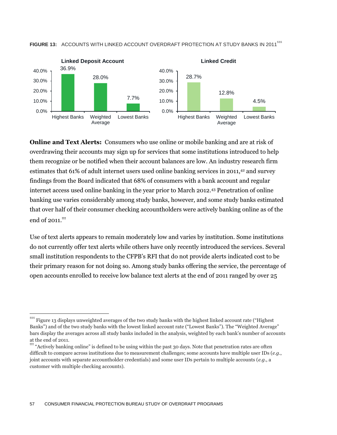

FIGURE 13: ACCOUNTS WITH LINKED ACCOUNT OVERDRAFT PROTECTION AT STUDY BANKS IN 2011<sup>sss</sup>

**Online and Text Alerts:** Consumers who use online or mobile banking and are at risk of overdrawing their accounts may sign up for services that some institutions introduced to help them recognize or be notified when their account balances are low. An industry research firm estimates that 61% of adult internet users used online banking services in 2011,<sup>42</sup> and survey findings from the Board indicated that 68% of consumers with a bank account and regular internet access used online banking in the year prior to March 2012.<sup>43</sup> Penetration of online banking use varies considerably among study banks, however, and some study banks estimated that over half of their consumer checking accountholders were actively banking online as of the end of  $2011$ <sup>ttt</sup>

Use of text alerts appears to remain moderately low and varies by institution. Some institutions do not currently offer text alerts while others have only recently introduced the services. Several small institution respondents to the CFPB's RFI that do not provide alerts indicated cost to be their primary reason for not doing so. Among study banks offering the service, the percentage of open accounts enrolled to receive low balance text alerts at the end of 2011 ranged by over 25

SSS Figure 13 displays unweighted averages of the two study banks with the highest linked account rate ("Highest" Banks") and of the two study banks with the lowest linked account rate ("Lowest Banks"). The "Weighted Average" bars display the averages across all study banks included in the analysis, weighted by each bank's number of accounts at the end of 2011.

<sup>&</sup>lt;sup>ttt</sup> "Actively banking online" is defined to be using within the past 30 days. Note that penetration rates are often difficult to compare across institutions due to measurement challenges; some accounts have multiple user IDs (*e.g.*, joint accounts with separate accountholder credentials) and some user IDs pertain to multiple accounts (*e.g.*, a customer with multiple checking accounts).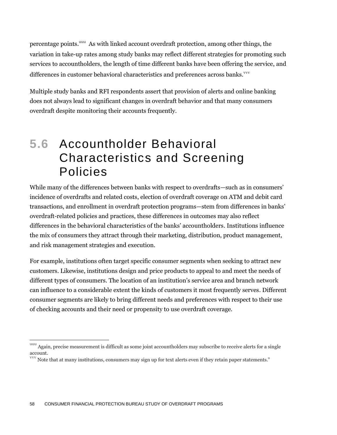percentage points. <sup>uuu</sup> As with linked account overdraft protection, among other things, the variation in take-up rates among study banks may reflect different strategies for promoting such services to accountholders, the length of time different banks have been offering the service, and differences in customer behavioral characteristics and preferences across banks. $^{\mathrm{vvv}}$ 

Multiple study banks and RFI respondents assert that provision of alerts and online banking does not always lead to significant changes in overdraft behavior and that many consumers overdraft despite monitoring their accounts frequently.

### **5.6** Accountholder Behavioral Characteristics and Screening Policies

While many of the differences between banks with respect to overdrafts—such as in consumers' incidence of overdrafts and related costs, election of overdraft coverage on ATM and debit card transactions, and enrollment in overdraft protection programs—stem from differences in banks' overdraft-related policies and practices, these differences in outcomes may also reflect differences in the behavioral characteristics of the banks' accountholders. Institutions influence the mix of consumers they attract through their marketing, distribution, product management, and risk management strategies and execution.

For example, institutions often target specific consumer segments when seeking to attract new customers. Likewise, institutions design and price products to appeal to and meet the needs of different types of consumers. The location of an institution's service area and branch network can influence to a considerable extent the kinds of customers it most frequently serves. Different consumer segments are likely to bring different needs and preferences with respect to their use of checking accounts and their need or propensity to use overdraft coverage.

uuu Again, precise measurement is difficult as some joint accountholders may subscribe to receive alerts for a single account.

Note that at many institutions, consumers may sign up for text alerts even if they retain paper statements."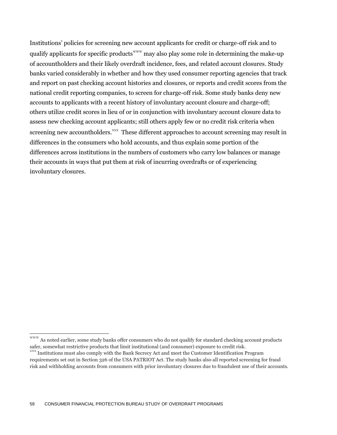Institutions' policies for screening new account applicants for credit or charge-off risk and to qualify applicants for specific products<sup>www</sup> may also play some role in determining the make-up of accountholders and their likely overdraft incidence, fees, and related account closures. Study banks varied considerably in whether and how they used consumer reporting agencies that track and report on past checking account histories and closures, or reports and credit scores from the national credit reporting companies, to screen for charge-off risk. Some study banks deny new accounts to applicants with a recent history of involuntary account closure and charge-off; others utilize credit scores in lieu of or in conjunction with involuntary account closure data to assess new checking account applicants; still others apply few or no credit risk criteria when screening new accountholders.<sup>xxx</sup> These different approaches to account screening may result in differences in the consumers who hold accounts, and thus explain some portion of the differences across institutions in the numbers of customers who carry low balances or manage their accounts in ways that put them at risk of incurring overdrafts or of experiencing involuntary closures.

 $\mathrm{^{www}}$  As noted earlier, some study banks offer consumers who do not qualify for standard checking account products safer, somewhat restrictive products that limit institutional (and consumer) exposure to credit risk.

Institutions must also comply with the Bank Secrecy Act and meet the Customer Identification Program requirements set out in Section 326 of the USA PATRIOT Act. The study banks also all reported screening for fraud risk and withholding accounts from consumers with prior involuntary closures due to fraudulent use of their accounts.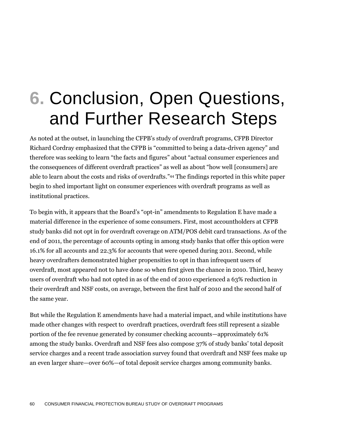# **6.** Conclusion, Open Questions, and Further Research Steps

As noted at the outset, in launching the CFPB's study of overdraft programs, CFPB Director Richard Cordray emphasized that the CFPB is "committed to being a data-driven agency" and therefore was seeking to learn "the facts and figures" about "actual consumer experiences and the consequences of different overdraft practices" as well as about "how well [consumers] are able to learn about the costs and risks of overdrafts." <sup>44</sup> The findings reported in this white paper begin to shed important light on consumer experiences with overdraft programs as well as institutional practices.

To begin with, it appears that the Board's "opt-in" amendments to Regulation E have made a material difference in the experience of some consumers. First, most accountholders at CFPB study banks did not opt in for overdraft coverage on ATM/POS debit card transactions. As of the end of 2011, the percentage of accounts opting in among study banks that offer this option were 16.1% for all accounts and 22.3% for accounts that were opened during 2011. Second, while heavy overdrafters demonstrated higher propensities to opt in than infrequent users of overdraft, most appeared not to have done so when first given the chance in 2010. Third, heavy users of overdraft who had not opted in as of the end of 2010 experienced a 63% reduction in their overdraft and NSF costs, on average, between the first half of 2010 and the second half of the same year.

But while the Regulation E amendments have had a material impact, and while institutions have made other changes with respect to overdraft practices, overdraft fees still represent a sizable portion of the fee revenue generated by consumer checking accounts—approximately 61% among the study banks. Overdraft and NSF fees also compose 37% of study banks' total deposit service charges and a recent trade association survey found that overdraft and NSF fees make up an even larger share—over 60%—of total deposit service charges among community banks.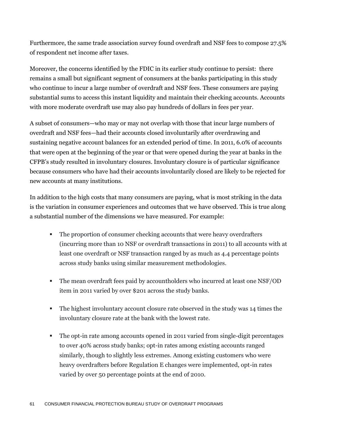Furthermore, the same trade association survey found overdraft and NSF fees to compose 27.5% of respondent net income after taxes.

Moreover, the concerns identified by the FDIC in its earlier study continue to persist: there remains a small but significant segment of consumers at the banks participating in this study who continue to incur a large number of overdraft and NSF fees. These consumers are paying substantial sums to access this instant liquidity and maintain their checking accounts. Accounts with more moderate overdraft use may also pay hundreds of dollars in fees per year.

A subset of consumers—who may or may not overlap with those that incur large numbers of overdraft and NSF fees—had their accounts closed involuntarily after overdrawing and sustaining negative account balances for an extended period of time. In 2011, 6.0% of accounts that were open at the beginning of the year or that were opened during the year at banks in the CFPB's study resulted in involuntary closures. Involuntary closure is of particular significance because consumers who have had their accounts involuntarily closed are likely to be rejected for new accounts at many institutions.

In addition to the high costs that many consumers are paying, what is most striking in the data is the variation in consumer experiences and outcomes that we have observed. This is true along a substantial number of the dimensions we have measured. For example:

- The proportion of consumer checking accounts that were heavy overdrafters (incurring more than 10 NSF or overdraft transactions in 2011) to all accounts with at least one overdraft or NSF transaction ranged by as much as 4.4 percentage points across study banks using similar measurement methodologies.
- The mean overdraft fees paid by accountholders who incurred at least one NSF/OD item in 2011 varied by over \$201 across the study banks.
- The highest involuntary account closure rate observed in the study was 14 times the involuntary closure rate at the bank with the lowest rate.
- The opt-in rate among accounts opened in 2011 varied from single-digit percentages to over 40% across study banks; opt-in rates among existing accounts ranged similarly, though to slightly less extremes. Among existing customers who were heavy overdrafters before Regulation E changes were implemented, opt-in rates varied by over 50 percentage points at the end of 2010.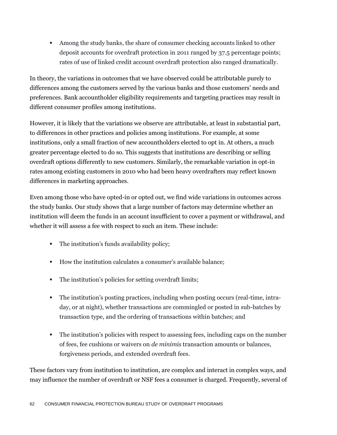Among the study banks, the share of consumer checking accounts linked to other deposit accounts for overdraft protection in 2011 ranged by 37.5 percentage points; rates of use of linked credit account overdraft protection also ranged dramatically.

In theory, the variations in outcomes that we have observed could be attributable purely to differences among the customers served by the various banks and those customers' needs and preferences. Bank accountholder eligibility requirements and targeting practices may result in different consumer profiles among institutions.

However, it is likely that the variations we observe are attributable, at least in substantial part, to differences in other practices and policies among institutions. For example, at some institutions, only a small fraction of new accountholders elected to opt in. At others, a much greater percentage elected to do so. This suggests that institutions are describing or selling overdraft options differently to new customers. Similarly, the remarkable variation in opt-in rates among existing customers in 2010 who had been heavy overdrafters may reflect known differences in marketing approaches.

Even among those who have opted-in or opted out, we find wide variations in outcomes across the study banks. Our study shows that a large number of factors may determine whether an institution will deem the funds in an account insufficient to cover a payment or withdrawal, and whether it will assess a fee with respect to such an item. These include:

- The institution's funds availability policy;
- How the institution calculates a consumer's available balance;
- The institution's policies for setting overdraft limits;
- The institution's posting practices, including when posting occurs (real-time, intraday, or at night), whether transactions are commingled or posted in sub-batches by transaction type, and the ordering of transactions within batches; and
- The institution's policies with respect to assessing fees, including caps on the number of fees, fee cushions or waivers on *de minimis* transaction amounts or balances, forgiveness periods, and extended overdraft fees.

These factors vary from institution to institution, are complex and interact in complex ways, and may influence the number of overdraft or NSF fees a consumer is charged. Frequently, several of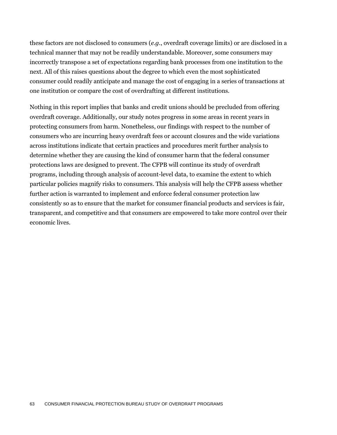these factors are not disclosed to consumers (*e.g.*, overdraft coverage limits) or are disclosed in a technical manner that may not be readily understandable. Moreover, some consumers may incorrectly transpose a set of expectations regarding bank processes from one institution to the next. All of this raises questions about the degree to which even the most sophisticated consumer could readily anticipate and manage the cost of engaging in a series of transactions at one institution or compare the cost of overdrafting at different institutions.

Nothing in this report implies that banks and credit unions should be precluded from offering overdraft coverage. Additionally, our study notes progress in some areas in recent years in protecting consumers from harm. Nonetheless, our findings with respect to the number of consumers who are incurring heavy overdraft fees or account closures and the wide variations across institutions indicate that certain practices and procedures merit further analysis to determine whether they are causing the kind of consumer harm that the federal consumer protections laws are designed to prevent. The CFPB will continue its study of overdraft programs, including through analysis of account-level data, to examine the extent to which particular policies magnify risks to consumers. This analysis will help the CFPB assess whether further action is warranted to implement and enforce federal consumer protection law consistently so as to ensure that the market for consumer financial products and services is fair, transparent, and competitive and that consumers are empowered to take more control over their economic lives.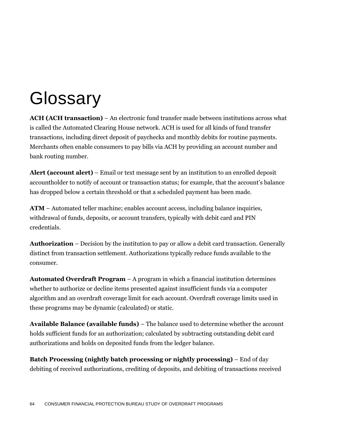# **Glossary**

**ACH (ACH transaction)** – An electronic fund transfer made between institutions across what is called the Automated Clearing House network. ACH is used for all kinds of fund transfer transactions, including direc[t deposit](http://www.answers.com/topic/automated-clearing-house) of paychecks and monthly debits for routine payments. Merchants often enable consumers to pay bills via ACH by providing an account number and bank routing number.

**Alert (account alert)** – Email or text message sent by an institution to an enrolled deposit accountholder to notify of account or transaction status; for example, that the account's balance has dropped below a certain threshold or that a scheduled payment has been made.

**ATM** – Automated teller machine; enables account access, including balance inquiries, withdrawal of funds, deposits, or account transfers, typically with debit card and PIN credentials.

**Authorization** – Decision by the institution to pay or allow a debit card transaction. Generally distinct from transaction settlement. Authorizations typically reduce funds available to the consumer.

**Automated Overdraft Program** – A program in which a financial institution determines whether to authorize or decline items presented against insufficient funds via a computer algorithm and an overdraft coverage limit for each account. Overdraft coverage limits used in these programs may be dynamic (calculated) or static.

**Available Balance (available funds)** – The balance used to determine whether the account holds sufficient funds for an authorization; calculated by subtracting outstanding debit card authorizations and holds on deposited funds from the ledger balance.

**Batch Processing (nightly batch processing or nightly processing)** – End of day debiting of received authorizations, crediting of deposits, and debiting of transactions received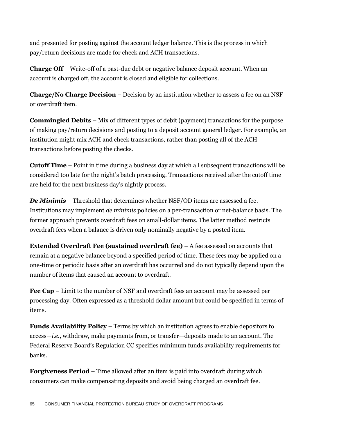and presented for posting against the account ledger balance. This is the process in which pay/return decisions are made for check and ACH transactions.

**Charge Off** – Write-off of a past-due debt or negative balance deposit account. When an account is charged off, the account is closed and eligible for collections.

**Charge/No Charge Decision** – Decision by an institution whether to assess a fee on an NSF or overdraft item.

**Commingled Debits** – Mix of different types of debit (payment) transactions for the purpose of making pay/return decisions and posting to a deposit account general ledger. For example, an institution might mix ACH and check transactions, rather than posting all of the ACH transactions before posting the checks.

**Cutoff Time** – Point in time during a business day at which all subsequent transactions will be considered too late for the night's batch processing. Transactions received after the cutoff time are held for the next business day's nightly process.

*De Minimis* – Threshold that determines whether NSF/OD items are assessed a fee. Institutions may implement *de minimis* policies on a per-transaction or net-balance basis. The former approach prevents overdraft fees on small-dollar items. The latter method restricts overdraft fees when a balance is driven only nominally negative by a posted item.

**Extended Overdraft Fee (sustained overdraft fee)** – A fee assessed on accounts that remain at a negative balance beyond a specified period of time. These fees may be applied on a one-time or periodic basis after an overdraft has occurred and do not typically depend upon the number of items that caused an account to overdraft.

**Fee Cap** – Limit to the number of NSF and overdraft fees an account may be assessed per processing day. Often expressed as a threshold dollar amount but could be specified in terms of items.

**Funds Availability Policy** – Terms by which an institution agrees to enable depositors to access—*i.e.*, withdraw, make payments from, or transfer—deposits made to an account. The Federal Reserve Board's Regulation CC specifies minimum funds availability requirements for banks.

**Forgiveness Period** – Time allowed after an item is paid into overdraft during which consumers can make compensating deposits and avoid being charged an overdraft fee.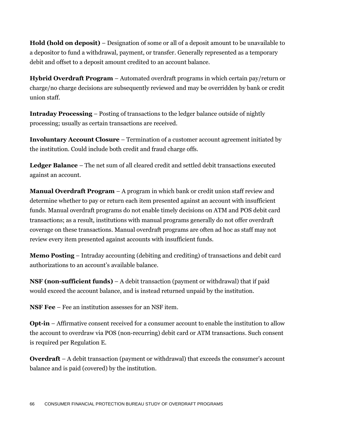**Hold (hold on deposit)** – Designation of some or all of a deposit amount to be unavailable to a depositor to fund a withdrawal, payment, or transfer. Generally represented as a temporary debit and offset to a deposit amount credited to an account balance.

**Hybrid Overdraft Program** – Automated overdraft programs in which certain pay/return or charge/no charge decisions are subsequently reviewed and may be overridden by bank or credit union staff.

**Intraday Processing** – Posting of transactions to the ledger balance outside of nightly processing; usually as certain transactions are received.

**Involuntary Account Closure** – Termination of a customer account agreement initiated by the institution. Could include both credit and fraud charge offs.

**Ledger Balance** – The net sum of all cleared credit and settled debit transactions executed against an account.

**Manual Overdraft Program** – A program in which bank or credit union staff review and determine whether to pay or return each item presented against an account with insufficient funds. Manual overdraft programs do not enable timely decisions on ATM and POS debit card transactions; as a result, institutions with manual programs generally do not offer overdraft coverage on these transactions. Manual overdraft programs are often ad hoc as staff may not review every item presented against accounts with insufficient funds.

**Memo Posting** – Intraday accounting (debiting and crediting) of transactions and debit card authorizations to an account's available balance.

**NSF (non-sufficient funds)** – A debit transaction (payment or withdrawal) that if paid would exceed the account balance, and is instead returned unpaid by the institution.

**NSF Fee** – Fee an institution assesses for an NSF item.

**Opt-in** – Affirmative consent received for a consumer account to enable the institution to allow the account to overdraw via POS (non-recurring) debit card or ATM transactions. Such consent is required per Regulation E.

**Overdraft** – A debit transaction (payment or withdrawal) that exceeds the consumer's account balance and is paid (covered) by the institution.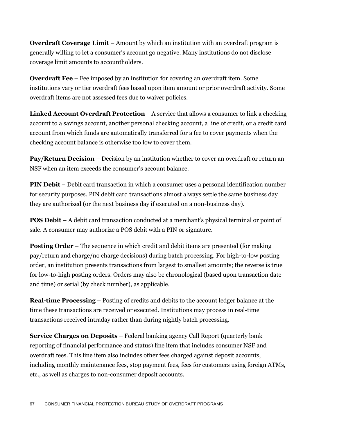**Overdraft Coverage Limit** – Amount by which an institution with an overdraft program is generally willing to let a consumer's account go negative. Many institutions do not disclose coverage limit amounts to accountholders.

**Overdraft Fee** – Fee imposed by an institution for covering an overdraft item. Some institutions vary or tier overdraft fees based upon item amount or prior overdraft activity. Some overdraft items are not assessed fees due to waiver policies.

**Linked Account Overdraft Protection** – A service that allows a consumer to link a checking account to a savings account, another personal checking account, a line of credit, or a credit card account from which funds are automatically transferred for a fee to cover payments when the checking account balance is otherwise too low to cover them.

**Pay/Return Decision** – Decision by an institution whether to cover an overdraft or return an NSF when an item exceeds the consumer's account balance.

**PIN Debit** – Debit card transaction in which a consumer uses a personal identification number for security purposes. PIN debit card transactions almost always settle the same business day they are authorized (or the next business day if executed on a non-business day).

**POS Debit** – A debit card transaction conducted at a merchant's physical terminal or point of sale. A consumer may authorize a POS debit with a PIN or signature.

**Posting Order** – The sequence in which credit and debit items are presented (for making pay/return and charge/no charge decisions) during batch processing. For high-to-low posting order, an institution presents transactions from largest to smallest amounts; the reverse is true for low-to-high posting orders. Orders may also be chronological (based upon transaction date and time) or serial (by check number), as applicable.

**Real-time Processing** – Posting of credits and debits to the account ledger balance at the time these transactions are received or executed. Institutions may process in real-time transactions received intraday rather than during nightly batch processing.

**Service Charges on Deposits** – Federal banking agency Call Report (quarterly bank reporting of financial performance and status) line item that includes consumer NSF and overdraft fees. This line item also includes other fees charged against deposit accounts, including monthly maintenance fees, stop payment fees, fees for customers using foreign ATMs, etc., as well as charges to non-consumer deposit accounts.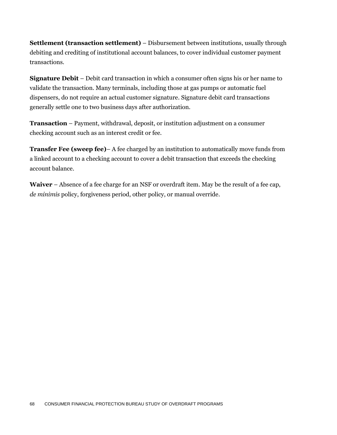**Settlement (transaction settlement)** – Disbursement between institutions, usually through debiting and crediting of institutional account balances, to cover individual customer payment transactions.

**Signature Debit** – Debit card transaction in which a consumer often signs his or her name to validate the transaction. Many terminals, including those at gas pumps or automatic fuel dispensers, do not require an actual customer signature. Signature debit card transactions generally settle one to two business days after authorization.

**Transaction** – Payment, withdrawal, deposit, or institution adjustment on a consumer checking account such as an interest credit or fee.

**Transfer Fee (sweep fee)**– A fee charged by an institution to automatically move funds from a linked account to a checking account to cover a debit transaction that exceeds the checking account balance.

**Waiver** – Absence of a fee charge for an NSF or overdraft item. May be the result of a fee cap, *de minimis* policy, forgiveness period, other policy, or manual override.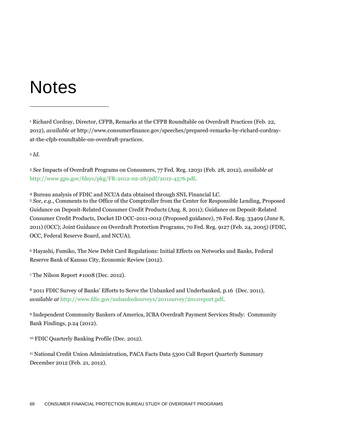## Notes

<sup>1</sup> Richard Cordray, Director, CFPB, Remarks at the CFPB Roundtable on Overdraft Practices (Feb. 22, 2012), *available at* http://www.consumerfinance.gov/speeches/prepared-remarks-by-richard-cordrayat-the-cfpb-roundtable-on-overdraft-practices.

<sup>2</sup> *Id*.

 $\overline{a}$ 

<sup>3</sup> *See* Impacts of Overdraft Programs on Consumers, 77 Fed. Reg. 12031 (Feb. 28, 2012), *available at* [http://www.gpo.gov/fdsys/pkg/FR-2012-02-28/pdf/2012-4576.pdf.](http://www.gpo.gov/fdsys/pkg/FR-2012-02-28/pdf/2012-4576.pdf)

<sup>4</sup> Bureau analysis of FDIC and NCUA data obtained through SNL Financial LC.

<sup>5</sup> *See, e.g.*, Comments to the Office of the Comptroller from the Center for Responsible Lending, Proposed Guidance on Deposit-Related Consumer Credit Products (Aug. 8, 2011); Guidance on Deposit-Related Consumer Credit Products, Docket ID OCC-2011-0012 (Proposed guidance), 76 Fed. Reg. 33409 (June 8, 2011) (OCC); Joint Guidance on Overdraft Protection Programs, 70 Fed. Reg. 9127 (Feb. 24, 2005) (FDIC, OCC, Federal Reserve Board, and NCUA).

<sup>6</sup> Hayashi, Fumiko, The New Debit Card Regulations: Initial Effects on Networks and Banks, Federal Reserve Bank of Kansas City, Economic Review (2012).

<sup>7</sup> The Nilson Report #1008 (Dec. 2012).

<sup>8</sup> 2011 FDIC Survey of Banks' Efforts to Serve the Unbanked and Underbanked, p.16 (Dec. 2011), *available at* [http://www.fdic.gov/unbankedsurveys/2011survey/2011report.pdf.](http://www.fdic.gov/unbankedsurveys/2011survey/2011report.pdf)

<sup>9</sup> Independent Community Bankers of America, ICBA Overdraft Payment Services Study: Community Bank Findings, p.24 (2012).

<sup>10</sup> FDIC Quarterly Banking Profile (Dec. 2012).

<sup>11</sup> National Credit Union Administration, PACA Facts Data 5300 Call Report Quarterly Summary December 2012 (Feb. 21, 2012).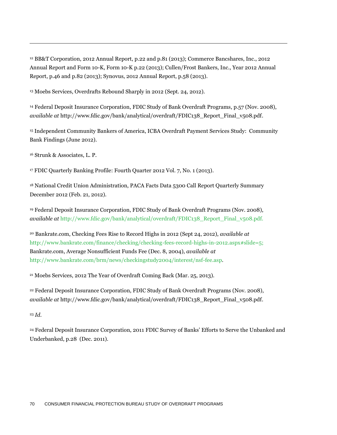<sup>12</sup> BB&T Corporation, 2012 Annual Report, p.22 and p.81 (2013); Commerce Bancshares, Inc., 2012 Annual Report and Form 10-K, Form 10-K p.22 (2013); Cullen/Frost Bankers, Inc., Year 2012 Annual Report, p.46 and p.82 (2013); Synovus, 2012 Annual Report, p.58 (2013).

<sup>13</sup> Moebs Services, Overdrafts Rebound Sharply in 2012 (Sept. 24, 2012).

<sup>14</sup> Federal Deposit Insurance Corporation, FDIC Study of Bank Overdraft Programs, p.57 (Nov. 2008), *available at* http://www.fdic.gov/bank/analytical/overdraft/FDIC138\_Report\_Final\_v508.pdf.

<sup>15</sup> Independent Community Bankers of America, ICBA Overdraft Payment Services Study: Community Bank Findings (June 2012).

<sup>16</sup> Strunk & Associates, L. P.

 $\overline{a}$ 

<sup>17</sup> FDIC Quarterly Banking Profile: Fourth Quarter 2012 Vol. 7, No. 1 (2013).

<sup>18</sup> National Credit Union Administration, PACA Facts Data 5300 Call Report Quarterly Summary December 2012 (Feb. 21, 2012).

<sup>19</sup> Federal Deposit Insurance Corporation, FDIC Study of Bank Overdraft Programs (Nov. 2008), *available at* http://www.fdic.gov/bank/analytical/overdraft/FDIC138\_Report\_Final\_v508.pdf.

<sup>20</sup> Bankrate.com, Checking Fees Rise to Record Highs in 2012 (Sept 24, 2012), *available at* [http://www.bankrate.com/finance/checking/checking-fees-record-highs-in-2012.aspx#slide=5;](http://www.bankrate.com/finance/checking/checking-fees-record-highs-in-2012.aspx#slide=5) Bankrate.com, Average Nonsufficient Funds Fee (Dec. 8, 2004), *available at*  [http://www.bankrate.com/brm/news/checkingstudy2004/interest/nsf-fee.asp.](http://www.bankrate.com/brm/news/checkingstudy2004/interest/nsf-fee.asp)

<sup>21</sup> Moebs Services, 2012 The Year of Overdraft Coming Back (Mar. 25, 2013).

<sup>22</sup> Federal Deposit Insurance Corporation, FDIC Study of Bank Overdraft Programs (Nov. 2008), *available at* http://www.fdic.gov/bank/analytical/overdraft/FDIC138\_Report\_Final\_v508.pdf.

<sup>23</sup> *Id.*

<sup>24</sup> Federal Deposit Insurance Corporation, 2011 FDIC Survey of Banks' Efforts to Serve the Unbanked and Underbanked, p.28 (Dec. 2011).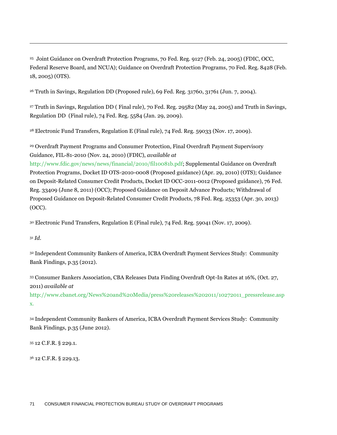<sup>25</sup> Joint Guidance on Overdraft Protection Programs, 70 Fed. Reg. 9127 (Feb. 24, 2005) (FDIC, OCC, Federal Reserve Board, and NCUA); Guidance on Overdraft Protection Programs, 70 Fed. Reg. 8428 (Feb. 18, 2005) (OTS).

<sup>26</sup> Truth in Savings, Regulation DD (Proposed rule), 69 Fed. Reg. 31760, 31761 (Jun. 7, 2004).

<sup>27</sup> Truth in Savings, Regulation DD ( Final rule)*,* 70 Fed. Reg. 29582 (May 24, 2005) and Truth in Savings, Regulation DD (Final rule), 74 Fed. Reg. 5584 (Jan. 29, 2009).

<sup>28</sup> Electronic Fund Transfers, Regulation E (Final rule), 74 Fed. Reg. 59033 (Nov. 17, 2009).

<sup>29</sup> Overdraft Payment Programs and Consumer Protection, Final Overdraft Payment Supervisory Guidance, FIL-81-2010 (Nov. 24, 2010) (FDIC), *available at*

[http://www.fdic.gov/news/news/financial/2010/fil10081b.pdf;](http://www.fdic.gov/news/news/financial/2010/fil10081b.pdf) Supplemental Guidance on Overdraft Protection Programs, Docket ID OTS-2010-0008 (Proposed guidance) (Apr. 29, 2010) (OTS); Guidance on Deposit-Related Consumer Credit Products, Docket ID OCC-2011-0012 (Proposed guidance), 76 Fed. Reg. 33409 (June 8, 2011) (OCC); Proposed Guidance on Deposit Advance Products; Withdrawal of Proposed Guidance on Deposit-Related Consumer Credit Products, 78 Fed. Reg. 25353 (Apr. 30, 2013) (OCC).

<sup>30</sup> Electronic Fund Transfers, Regulation E (Final rule), 74 Fed. Reg. 59041 (Nov. 17, 2009).

<sup>31</sup> *Id.*

 $\overline{a}$ 

<sup>32</sup> Independent Community Bankers of America, ICBA Overdraft Payment Services Study: Community Bank Findings, p.35 (2012).

<sup>33</sup> Consumer Bankers Association, CBA Releases Data Finding Overdraft Opt-In Rates at 16%, (Oct. 27, 2011) *available at*

[http://www.cbanet.org/News%20and%20Media/press%20releases%202011/10272011\\_pressrelease.asp](http://www.cbanet.org/News%20and%20Media/press%20releases%202011/10272011_pressrelease.aspx) [x](http://www.cbanet.org/News%20and%20Media/press%20releases%202011/10272011_pressrelease.aspx).

<sup>34</sup> Independent Community Bankers of America, ICBA Overdraft Payment Services Study: Community Bank Findings, p.35 (June 2012).

<sup>35</sup> 12 C.F.R. § 229.1.

<sup>36</sup> 12 C.F.R. § 229.13.